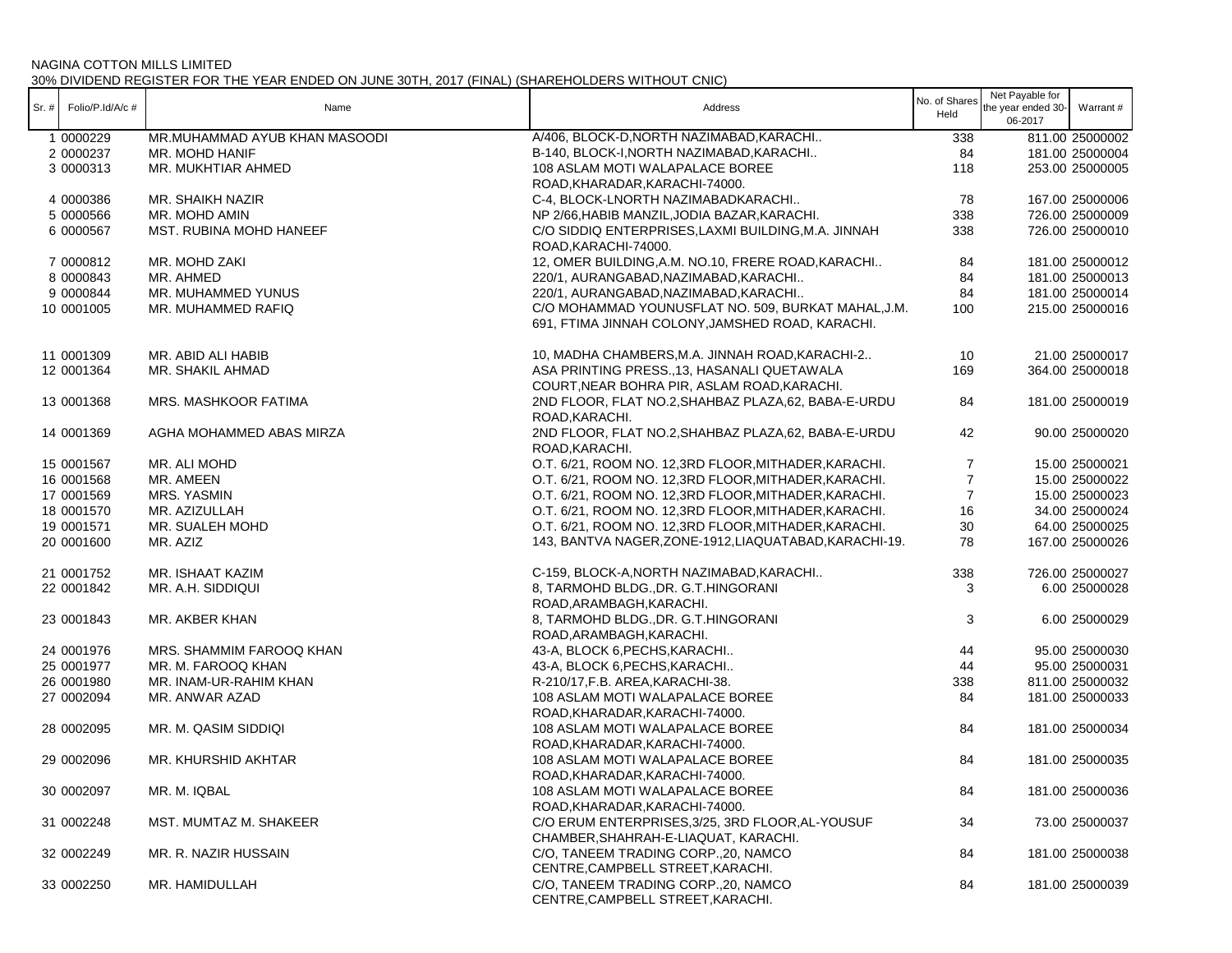|       |                  |                               |                                                        | No. of Shares  | Net Payable for    |                 |
|-------|------------------|-------------------------------|--------------------------------------------------------|----------------|--------------------|-----------------|
| Sr. # | Folio/P.Id/A/c # | Name                          | Address                                                | Held           | the year ended 30- | Warrant #       |
|       |                  |                               |                                                        |                | 06-2017            |                 |
|       | 1 0000229        | MR.MUHAMMAD AYUB KHAN MASOODI | A/406, BLOCK-D, NORTH NAZIMABAD, KARACHI               | 338            |                    | 811.00 25000002 |
|       | 2 0000237        | MR. MOHD HANIF                | B-140, BLOCK-I, NORTH NAZIMABAD, KARACHI               | 84             |                    | 181.00 25000004 |
|       | 3 0000313        | MR. MUKHTIAR AHMED            | 108 ASLAM MOTI WALAPALACE BOREE                        | 118            |                    | 253.00 25000005 |
|       |                  |                               | ROAD, KHARADAR, KARACHI-74000.                         |                |                    |                 |
|       | 4 0000386        | MR. SHAIKH NAZIR              | C-4, BLOCK-LNORTH NAZIMABADKARACHI                     | 78             |                    | 167.00 25000006 |
|       | 5 0000566        | MR. MOHD AMIN                 | NP 2/66, HABIB MANZIL, JODIA BAZAR, KARACHI.           | 338            |                    | 726.00 25000009 |
|       | 6 0000567        | MST. RUBINA MOHD HANEEF       | C/O SIDDIQ ENTERPRISES, LAXMI BUILDING, M.A. JINNAH    | 338            |                    | 726.00 25000010 |
|       |                  |                               | ROAD, KARACHI-74000.                                   |                |                    |                 |
|       | 7 0000812        | MR. MOHD ZAKI                 | 12, OMER BUILDING, A.M. NO.10, FRERE ROAD, KARACHI     | 84             |                    | 181.00 25000012 |
|       | 8 0000843        | MR. AHMED                     | 220/1, AURANGABAD, NAZIMABAD, KARACHI                  | 84             |                    | 181.00 25000013 |
|       | 9 0000844        | MR. MUHAMMED YUNUS            | 220/1, AURANGABAD, NAZIMABAD, KARACHI                  | 84             |                    | 181.00 25000014 |
|       | 10 0001005       | MR. MUHAMMED RAFIQ            | C/O MOHAMMAD YOUNUSFLAT NO. 509, BURKAT MAHAL, J.M.    | 100            |                    | 215.00 25000016 |
|       |                  |                               | 691, FTIMA JINNAH COLONY, JAMSHED ROAD, KARACHI.       |                |                    |                 |
|       |                  |                               |                                                        |                |                    |                 |
|       | 11 0001309       | MR. ABID ALI HABIB            | 10, MADHA CHAMBERS, M.A. JINNAH ROAD, KARACHI-2        | 10             |                    | 21.00 25000017  |
|       | 12 0001364       | MR. SHAKIL AHMAD              | ASA PRINTING PRESS., 13, HASANALI QUETAWALA            | 169            |                    | 364.00 25000018 |
|       |                  |                               | COURT, NEAR BOHRA PIR, ASLAM ROAD, KARACHI.            |                |                    |                 |
|       | 13 0001368       | MRS. MASHKOOR FATIMA          | 2ND FLOOR, FLAT NO.2, SHAHBAZ PLAZA, 62, BABA-E-URDU   | 84             |                    | 181.00 25000019 |
|       |                  |                               | ROAD.KARACHI.                                          |                |                    |                 |
|       | 14 0001369       | AGHA MOHAMMED ABAS MIRZA      | 2ND FLOOR, FLAT NO.2, SHAHBAZ PLAZA, 62, BABA-E-URDU   | 42             |                    | 90.00 25000020  |
|       |                  |                               | ROAD.KARACHI.                                          |                |                    |                 |
|       |                  |                               |                                                        |                |                    |                 |
|       | 15 0001567       | MR. ALI MOHD                  | O.T. 6/21, ROOM NO. 12,3RD FLOOR, MITHADER, KARACHI.   | 7              |                    | 15.00 25000021  |
|       | 16 0001568       | MR. AMEEN                     | O.T. 6/21, ROOM NO. 12,3RD FLOOR, MITHADER, KARACHI.   | $\overline{7}$ |                    | 15.00 25000022  |
|       | 17 0001569       | MRS. YASMIN                   | O.T. 6/21, ROOM NO. 12,3RD FLOOR, MITHADER, KARACHI.   | $\overline{7}$ |                    | 15.00 25000023  |
|       | 18 0001570       | MR. AZIZULLAH                 | O.T. 6/21, ROOM NO. 12,3RD FLOOR, MITHADER, KARACHI.   | 16             |                    | 34.00 25000024  |
|       | 19 0001571       | MR. SUALEH MOHD               | O.T. 6/21, ROOM NO. 12,3RD FLOOR, MITHADER, KARACHI.   | 30             |                    | 64.00 25000025  |
|       | 20 0001600       | MR. AZIZ                      | 143, BANTVA NAGER, ZONE-1912, LIAQUATABAD, KARACHI-19. | 78             |                    | 167.00 25000026 |
|       | 21 0001752       | MR. ISHAAT KAZIM              | C-159, BLOCK-A, NORTH NAZIMABAD, KARACHI               | 338            |                    | 726.00 25000027 |
|       | 22 0001842       | MR. A.H. SIDDIQUI             | 8, TARMOHD BLDG., DR. G.T. HINGORANI                   | 3              |                    | 6.00 25000028   |
|       |                  |                               | ROAD, ARAMBAGH, KARACHI.                               |                |                    |                 |
|       | 23 0001843       | MR. AKBER KHAN                | 8, TARMOHD BLDG., DR. G.T. HINGORANI                   | 3              |                    | 6.00 25000029   |
|       |                  |                               | ROAD, ARAMBAGH, KARACHI.                               |                |                    |                 |
|       | 24 0001976       | MRS. SHAMMIM FAROOQ KHAN      | 43-A, BLOCK 6, PECHS, KARACHI                          | 44             |                    | 95.00 25000030  |
|       | 25 0001977       | MR. M. FAROOQ KHAN            | 43-A, BLOCK 6, PECHS, KARACHI                          | 44             |                    | 95.00 25000031  |
|       | 26 0001980       | MR. INAM-UR-RAHIM KHAN        | R-210/17, F.B. AREA, KARACHI-38.                       | 338            |                    | 811.00 25000032 |
|       | 27 0002094       | MR. ANWAR AZAD                | 108 ASLAM MOTI WALAPALACE BOREE                        | 84             |                    | 181.00 25000033 |
|       |                  |                               | ROAD, KHARADAR, KARACHI-74000.                         |                |                    |                 |
|       |                  |                               | 108 ASLAM MOTI WALAPALACE BOREE                        |                |                    |                 |
|       | 28 0002095       | MR. M. QASIM SIDDIQI          |                                                        | 84             |                    | 181.00 25000034 |
|       |                  |                               | ROAD, KHARADAR, KARACHI-74000.                         |                |                    |                 |
|       | 29 0002096       | MR. KHURSHID AKHTAR           | 108 ASLAM MOTI WALAPALACE BOREE                        | 84             |                    | 181.00 25000035 |
|       |                  |                               | ROAD, KHARADAR, KARACHI-74000.                         |                |                    |                 |
|       | 30 0002097       | MR. M. IQBAL                  | 108 ASLAM MOTI WALAPALACE BOREE                        | 84             |                    | 181.00 25000036 |
|       |                  |                               | ROAD, KHARADAR, KARACHI-74000.                         |                |                    |                 |
|       | 31 0002248       | MST. MUMTAZ M. SHAKEER        | C/O ERUM ENTERPRISES, 3/25, 3RD FLOOR, AL-YOUSUF       | 34             |                    | 73.00 25000037  |
|       |                  |                               | CHAMBER, SHAHRAH-E-LIAQUAT, KARACHI.                   |                |                    |                 |
|       | 32 0002249       | MR. R. NAZIR HUSSAIN          | C/O, TANEEM TRADING CORP., 20, NAMCO                   | 84             |                    | 181.00 25000038 |
|       |                  |                               | CENTRE, CAMPBELL STREET, KARACHI.                      |                |                    |                 |
|       | 33 0002250       | MR. HAMIDULLAH                | C/O, TANEEM TRADING CORP., 20, NAMCO                   | 84             |                    | 181.00 25000039 |
|       |                  |                               | CENTRE, CAMPBELL STREET, KARACHI.                      |                |                    |                 |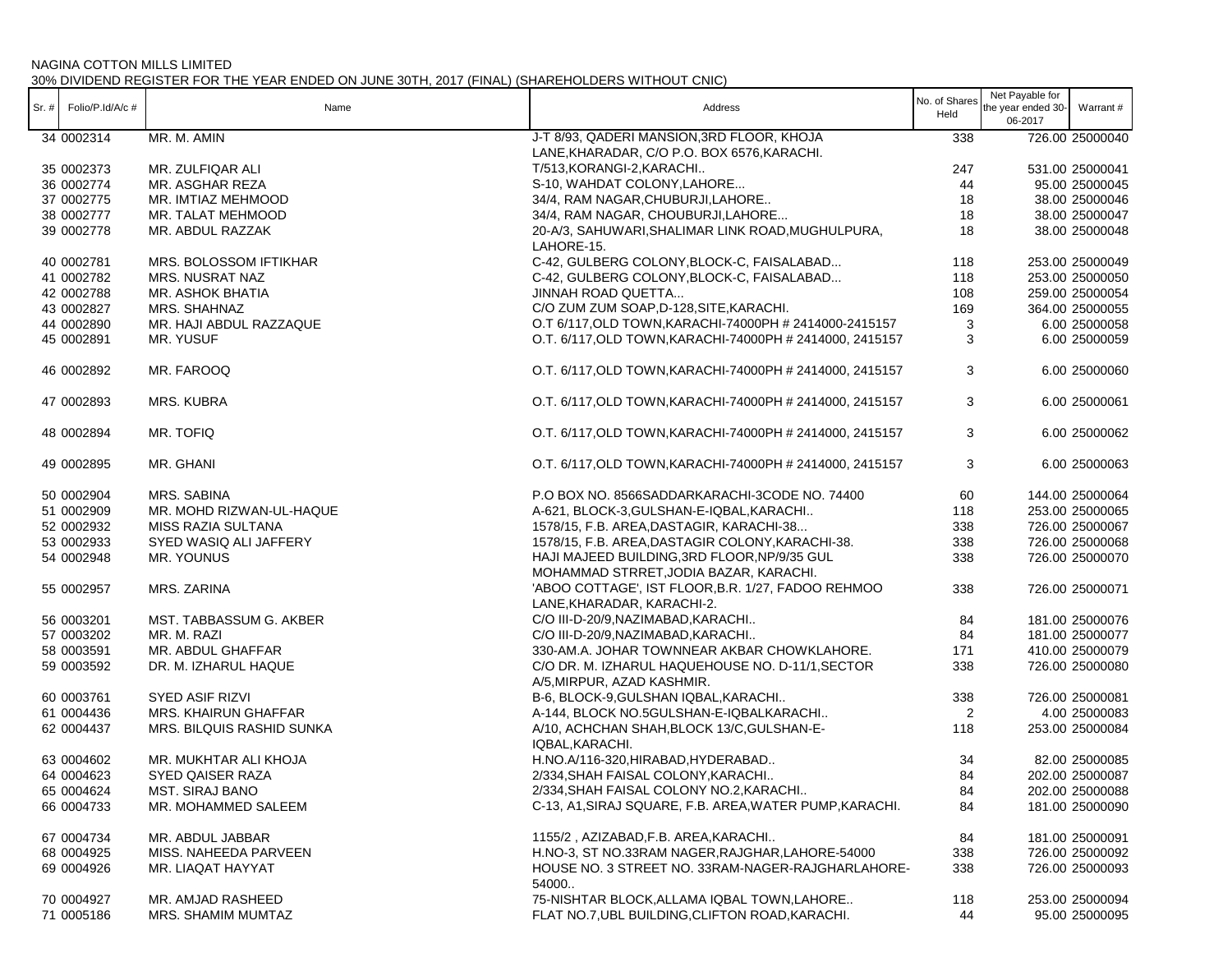| $Sr.$ # | Folio/P.Id/A/c# | Name                        | Address                                                                                   | No. of Shares<br>Held | Net Payable for<br>the year ended 30-<br>06-2017 | Warrant #       |
|---------|-----------------|-----------------------------|-------------------------------------------------------------------------------------------|-----------------------|--------------------------------------------------|-----------------|
|         | 34 0002314      | MR. M. AMIN                 | J-T 8/93, QADERI MANSION, 3RD FLOOR, KHOJA<br>LANE, KHARADAR, C/O P.O. BOX 6576, KARACHI. | 338                   |                                                  | 726.00 25000040 |
|         | 35 0002373      | MR. ZULFIQAR ALI            | T/513, KORANGI-2, KARACHI                                                                 | 247                   |                                                  | 531.00 25000041 |
|         | 36 0002774      | MR. ASGHAR REZA             | S-10, WAHDAT COLONY, LAHORE                                                               | 44                    |                                                  | 95.00 25000045  |
|         | 37 0002775      | MR. IMTIAZ MEHMOOD          | 34/4, RAM NAGAR, CHUBURJI, LAHORE                                                         | 18                    |                                                  | 38.00 25000046  |
|         | 38 0002777      | MR. TALAT MEHMOOD           | 34/4, RAM NAGAR, CHOUBURJI, LAHORE                                                        | 18                    |                                                  | 38.00 25000047  |
|         | 39 0002778      | MR. ABDUL RAZZAK            | 20-A/3, SAHUWARI, SHALIMAR LINK ROAD, MUGHULPURA,<br>LAHORE-15.                           | 18                    |                                                  | 38.00 25000048  |
|         | 40 0002781      | MRS. BOLOSSOM IFTIKHAR      | C-42, GULBERG COLONY, BLOCK-C, FAISALABAD                                                 | 118                   |                                                  | 253.00 25000049 |
|         | 41 0002782      | MRS. NUSRAT NAZ             | C-42, GULBERG COLONY, BLOCK-C, FAISALABAD                                                 | 118                   |                                                  | 253.00 25000050 |
|         | 42 0002788      | MR. ASHOK BHATIA            | <b>JINNAH ROAD QUETTA</b>                                                                 | 108                   |                                                  | 259.00 25000054 |
|         | 43 0002827      | MRS. SHAHNAZ                | C/O ZUM ZUM SOAP, D-128, SITE, KARACHI.                                                   | 169                   |                                                  | 364.00 25000055 |
|         | 44 0002890      | MR. HAJI ABDUL RAZZAQUE     | O.T 6/117, OLD TOWN, KARACHI-74000PH # 2414000-2415157                                    | 3                     |                                                  | 6.00 25000058   |
|         | 45 0002891      | MR. YUSUF                   | O.T. 6/117, OLD TOWN, KARACHI-74000PH # 2414000, 2415157                                  | 3                     |                                                  | 6.00 25000059   |
|         | 46 0002892      | MR. FAROOQ                  | O.T. 6/117, OLD TOWN, KARACHI-74000PH # 2414000, 2415157                                  | 3                     |                                                  | 6.00 25000060   |
|         | 47 0002893      | <b>MRS. KUBRA</b>           | O.T. 6/117, OLD TOWN, KARACHI-74000PH # 2414000, 2415157                                  | 3                     |                                                  | 6.00 25000061   |
|         | 48 0002894      | MR. TOFIQ                   | O.T. 6/117, OLD TOWN, KARACHI-74000PH # 2414000, 2415157                                  | 3                     |                                                  | 6.00 25000062   |
|         | 49 0002895      | MR. GHANI                   | O.T. 6/117, OLD TOWN, KARACHI-74000PH # 2414000, 2415157                                  | 3                     |                                                  | 6.00 25000063   |
|         | 50 0002904      | MRS. SABINA                 | P.O BOX NO. 8566SADDARKARACHI-3CODE NO. 74400                                             | 60                    |                                                  | 144.00 25000064 |
|         | 51 0002909      | MR. MOHD RIZWAN-UL-HAQUE    | A-621, BLOCK-3, GULSHAN-E-IQBAL, KARACHI                                                  | 118                   |                                                  | 253.00 25000065 |
|         | 52 0002932      | MISS RAZIA SULTANA          | 1578/15, F.B. AREA, DASTAGIR, KARACHI-38                                                  | 338                   |                                                  | 726.00 25000067 |
|         | 53 0002933      | SYED WASIQ ALI JAFFERY      | 1578/15, F.B. AREA, DASTAGIR COLONY, KARACHI-38.                                          | 338                   |                                                  | 726.00 25000068 |
|         | 54 0002948      | MR. YOUNUS                  | HAJI MAJEED BUILDING, 3RD FLOOR, NP/9/35 GUL<br>MOHAMMAD STRRET, JODIA BAZAR, KARACHI.    | 338                   |                                                  | 726.00 25000070 |
|         | 55 0002957      | MRS. ZARINA                 | 'ABOO COTTAGE', IST FLOOR, B.R. 1/27, FADOO REHMOO<br>LANE, KHARADAR, KARACHI-2.          | 338                   |                                                  | 726.00 25000071 |
|         | 56 0003201      | MST. TABBASSUM G. AKBER     | C/O III-D-20/9, NAZIMABAD, KARACHI                                                        | 84                    |                                                  | 181.00 25000076 |
|         | 57 0003202      | MR. M. RAZI                 | C/O III-D-20/9, NAZIMABAD, KARACHI                                                        | 84                    |                                                  | 181.00 25000077 |
|         | 58 0003591      | MR. ABDUL GHAFFAR           | 330-AM.A. JOHAR TOWNNEAR AKBAR CHOWKLAHORE.                                               | 171                   |                                                  | 410.00 25000079 |
|         | 59 0003592      | DR. M. IZHARUL HAQUE        | C/O DR. M. IZHARUL HAQUEHOUSE NO. D-11/1, SECTOR<br>A/5, MIRPUR, AZAD KASHMIR.            | 338                   |                                                  | 726.00 25000080 |
|         | 60 0003761      | SYED ASIF RIZVI             | B-6, BLOCK-9, GULSHAN IQBAL, KARACHI                                                      | 338                   |                                                  | 726.00 25000081 |
|         | 61 0004436      | <b>MRS. KHAIRUN GHAFFAR</b> | A-144, BLOCK NO.5GULSHAN-E-IQBALKARACHI                                                   | 2                     |                                                  | 4.00 25000083   |
|         | 62 0004437      | MRS. BILQUIS RASHID SUNKA   | A/10, ACHCHAN SHAH, BLOCK 13/C, GULSHAN-E-<br>IQBAL, KARACHI.                             | 118                   |                                                  | 253.00 25000084 |
|         | 63 0004602      | MR. MUKHTAR ALI KHOJA       | H.NO.A/116-320, HIRABAD, HYDERABAD                                                        | 34                    |                                                  | 82.00 25000085  |
|         | 64 0004623      | SYED QAISER RAZA            | 2/334, SHAH FAISAL COLONY, KARACHI                                                        | 84                    |                                                  | 202.00 25000087 |
|         | 65 0004624      | <b>MST. SIRAJ BANO</b>      | 2/334, SHAH FAISAL COLONY NO.2, KARACHI                                                   | 84                    |                                                  | 202.00 25000088 |
|         | 66 0004733      | MR. MOHAMMED SALEEM         | C-13, A1, SIRAJ SQUARE, F.B. AREA, WATER PUMP, KARACHI.                                   | 84                    |                                                  | 181.00 25000090 |
|         | 67 0004734      | MR. ABDUL JABBAR            | 1155/2, AZIZABAD, F.B. AREA, KARACHI                                                      | 84                    |                                                  | 181.00 25000091 |
|         | 68 0004925      | MISS. NAHEEDA PARVEEN       | H.NO-3, ST NO.33RAM NAGER, RAJGHAR, LAHORE-54000                                          | 338                   |                                                  | 726.00 25000092 |
|         | 69 0004926      | MR. LIAQAT HAYYAT           | HOUSE NO. 3 STREET NO. 33RAM-NAGER-RAJGHARLAHORE-<br>54000.                               | 338                   |                                                  | 726.00 25000093 |
|         | 70 0004927      | MR. AMJAD RASHEED           | 75-NISHTAR BLOCK, ALLAMA IQBAL TOWN, LAHORE                                               | 118                   |                                                  | 253.00 25000094 |
|         | 71 0005186      | MRS. SHAMIM MUMTAZ          | FLAT NO.7, UBL BUILDING, CLIFTON ROAD, KARACHI.                                           | 44                    |                                                  | 95.00 25000095  |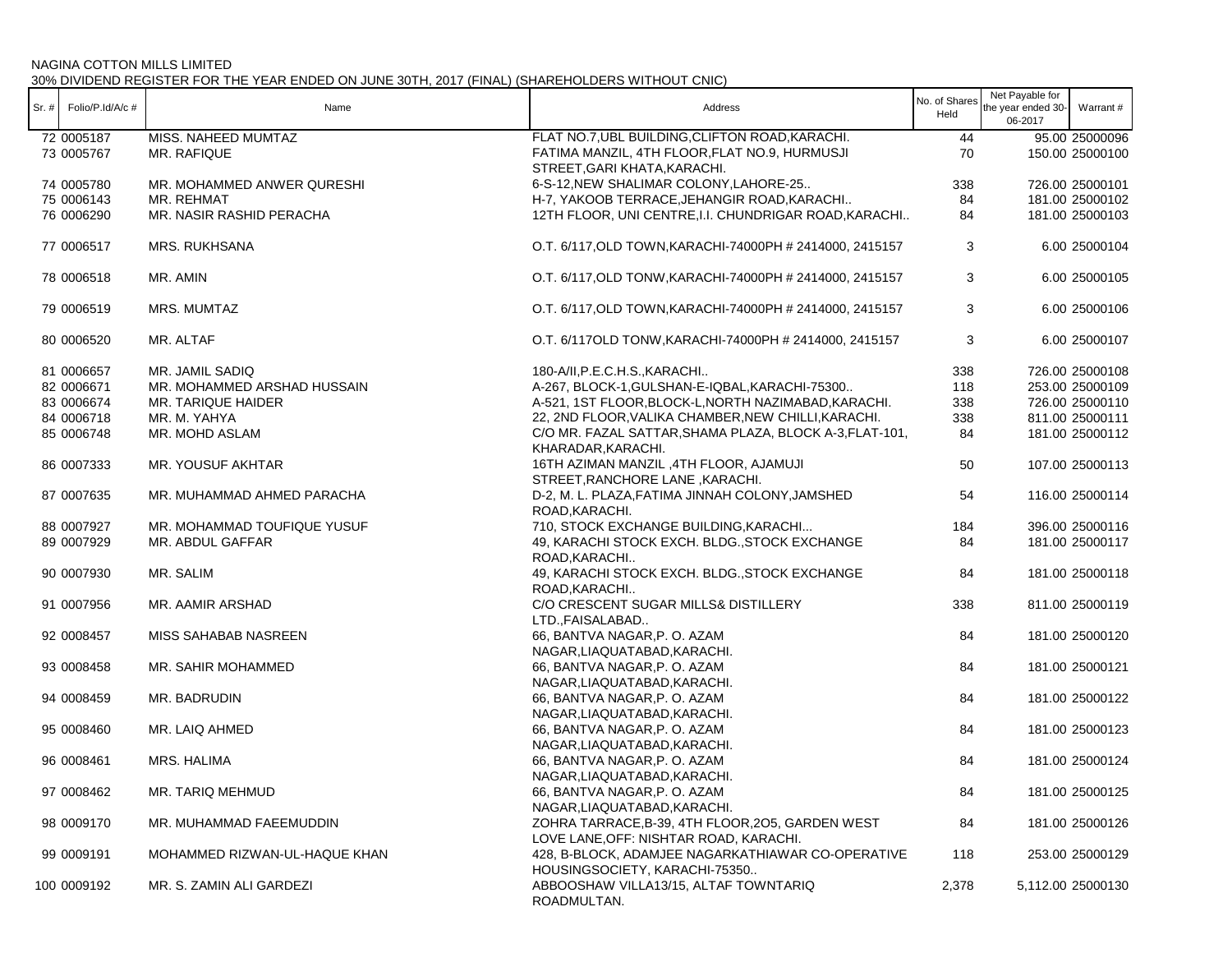| Sr. # | Folio/P.Id/A/c # | Name                          | Address                                                                                    | No. of Shares<br>Held | Net Payable for<br>the year ended 30-<br>06-2017 | Warrant#          |
|-------|------------------|-------------------------------|--------------------------------------------------------------------------------------------|-----------------------|--------------------------------------------------|-------------------|
|       | 72 0005187       | MISS. NAHEED MUMTAZ           | FLAT NO.7, UBL BUILDING, CLIFTON ROAD, KARACHI.                                            | 44                    |                                                  | 95.00 25000096    |
|       | 73 0005767       | MR. RAFIQUE                   | FATIMA MANZIL, 4TH FLOOR, FLAT NO.9, HURMUSJI<br>STREET, GARI KHATA, KARACHI.              | 70                    |                                                  | 150.00 25000100   |
|       | 74 0005780       | MR. MOHAMMED ANWER QURESHI    | 6-S-12, NEW SHALIMAR COLONY, LAHORE-25                                                     | 338                   |                                                  | 726.00 25000101   |
|       | 75 0006143       | MR. REHMAT                    | H-7, YAKOOB TERRACE, JEHANGIR ROAD, KARACHI                                                | 84                    |                                                  | 181.00 25000102   |
|       | 76 0006290       | MR. NASIR RASHID PERACHA      | 12TH FLOOR, UNI CENTRE, I.I. CHUNDRIGAR ROAD, KARACHI                                      | 84                    |                                                  | 181.00 25000103   |
|       | 77 0006517       | <b>MRS. RUKHSANA</b>          | O.T. 6/117, OLD TOWN, KARACHI-74000PH # 2414000, 2415157                                   | 3                     |                                                  | 6.00 25000104     |
|       | 78 0006518       | MR. AMIN                      | O.T. 6/117, OLD TONW, KARACHI-74000PH # 2414000, 2415157                                   | 3                     |                                                  | 6.00 25000105     |
|       | 79 0006519       | MRS. MUMTAZ                   | O.T. 6/117, OLD TOWN, KARACHI-74000PH # 2414000, 2415157                                   | 3                     |                                                  | 6.00 25000106     |
|       | 80 0006520       | MR. ALTAF                     | O.T. 6/117OLD TONW, KARACHI-74000PH # 2414000, 2415157                                     | 3                     |                                                  | 6.00 25000107     |
|       | 81 0006657       | MR. JAMIL SADIQ               | 180-A/II, P.E.C.H.S., KARACHI                                                              | 338                   |                                                  | 726.00 25000108   |
|       | 82 0006671       | MR. MOHAMMED ARSHAD HUSSAIN   | A-267, BLOCK-1, GULSHAN-E-IQBAL, KARACHI-75300                                             | 118                   |                                                  | 253.00 25000109   |
|       | 83 0006674       | MR. TARIQUE HAIDER            | A-521, 1ST FLOOR, BLOCK-L, NORTH NAZIMABAD, KARACHI.                                       | 338                   |                                                  | 726.00 25000110   |
|       | 84 0006718       | MR. M. YAHYA                  | 22, 2ND FLOOR, VALIKA CHAMBER, NEW CHILLI, KARACHI.                                        | 338                   |                                                  | 811.00 25000111   |
|       | 85 0006748       | MR. MOHD ASLAM                | C/O MR. FAZAL SATTAR, SHAMA PLAZA, BLOCK A-3, FLAT-101,<br>KHARADAR, KARACHI.              | 84                    |                                                  | 181.00 25000112   |
|       | 86 0007333       | MR. YOUSUF AKHTAR             | 16TH AZIMAN MANZIL, 4TH FLOOR, AJAMUJI<br>STREET, RANCHORE LANE, KARACHI.                  | 50                    |                                                  | 107.00 25000113   |
|       | 87 0007635       | MR. MUHAMMAD AHMED PARACHA    | D-2, M. L. PLAZA, FATIMA JINNAH COLONY, JAMSHED<br>ROAD, KARACHI.                          | 54                    |                                                  | 116.00 25000114   |
|       | 88 0007927       | MR. MOHAMMAD TOUFIQUE YUSUF   | 710, STOCK EXCHANGE BUILDING, KARACHI                                                      | 184                   |                                                  | 396.00 25000116   |
|       | 89 0007929       | MR. ABDUL GAFFAR              | 49, KARACHI STOCK EXCH. BLDG., STOCK EXCHANGE                                              | 84                    |                                                  | 181.00 25000117   |
|       | 90 0007930       | MR. SALIM                     | ROAD, KARACHI<br>49, KARACHI STOCK EXCH. BLDG., STOCK EXCHANGE                             | 84                    |                                                  | 181.00 25000118   |
|       |                  |                               | ROAD, KARACHI                                                                              |                       |                                                  |                   |
|       | 91 0007956       | MR. AAMIR ARSHAD              | C/O CRESCENT SUGAR MILLS& DISTILLERY<br>LTD., FAISALABAD                                   | 338                   |                                                  | 811.00 25000119   |
|       | 92 0008457       | MISS SAHABAB NASREEN          | 66, BANTVA NAGAR, P. O. AZAM<br>NAGAR, LIAQUATABAD, KARACHI.                               | 84                    |                                                  | 181.00 25000120   |
|       | 93 0008458       | MR. SAHIR MOHAMMED            | 66, BANTVA NAGAR, P.O. AZAM                                                                | 84                    |                                                  | 181.00 25000121   |
|       | 94 0008459       | MR. BADRUDIN                  | NAGAR, LIAQUATABAD, KARACHI.<br>66, BANTVA NAGAR, P.O. AZAM                                | 84                    |                                                  | 181.00 25000122   |
|       | 95 0008460       | MR. LAIQ AHMED                | NAGAR, LIAQUATABAD, KARACHI.<br>66, BANTVA NAGAR, P.O. AZAM                                | 84                    |                                                  | 181.00 25000123   |
|       |                  |                               | NAGAR, LIAQUATABAD, KARACHI.                                                               |                       |                                                  |                   |
|       | 96 0008461       | MRS. HALIMA                   | 66, BANTVA NAGAR, P.O. AZAM<br>NAGAR, LIAQUATABAD, KARACHI.                                | 84                    |                                                  | 181.00 25000124   |
|       | 97 0008462       | MR. TARIQ MEHMUD              | 66, BANTVA NAGAR,P. O. AZAM<br>NAGAR, LIAQUATABAD, KARACHI.                                | 84                    |                                                  | 181.00 25000125   |
|       | 98 0009170       | MR. MUHAMMAD FAEEMUDDIN       | ZOHRA TARRACE, B-39, 4TH FLOOR, 205, GARDEN WEST<br>LOVE LANE, OFF: NISHTAR ROAD, KARACHI. | 84                    |                                                  | 181.00 25000126   |
|       | 99 0009191       | MOHAMMED RIZWAN-UL-HAQUE KHAN | 428, B-BLOCK, ADAMJEE NAGARKATHIAWAR CO-OPERATIVE                                          | 118                   |                                                  | 253.00 25000129   |
|       | 100 0009192      | MR. S. ZAMIN ALI GARDEZI      | HOUSINGSOCIETY, KARACHI-75350<br>ABBOOSHAW VILLA13/15, ALTAF TOWNTARIQ<br>ROADMULTAN.      | 2,378                 |                                                  | 5,112.00 25000130 |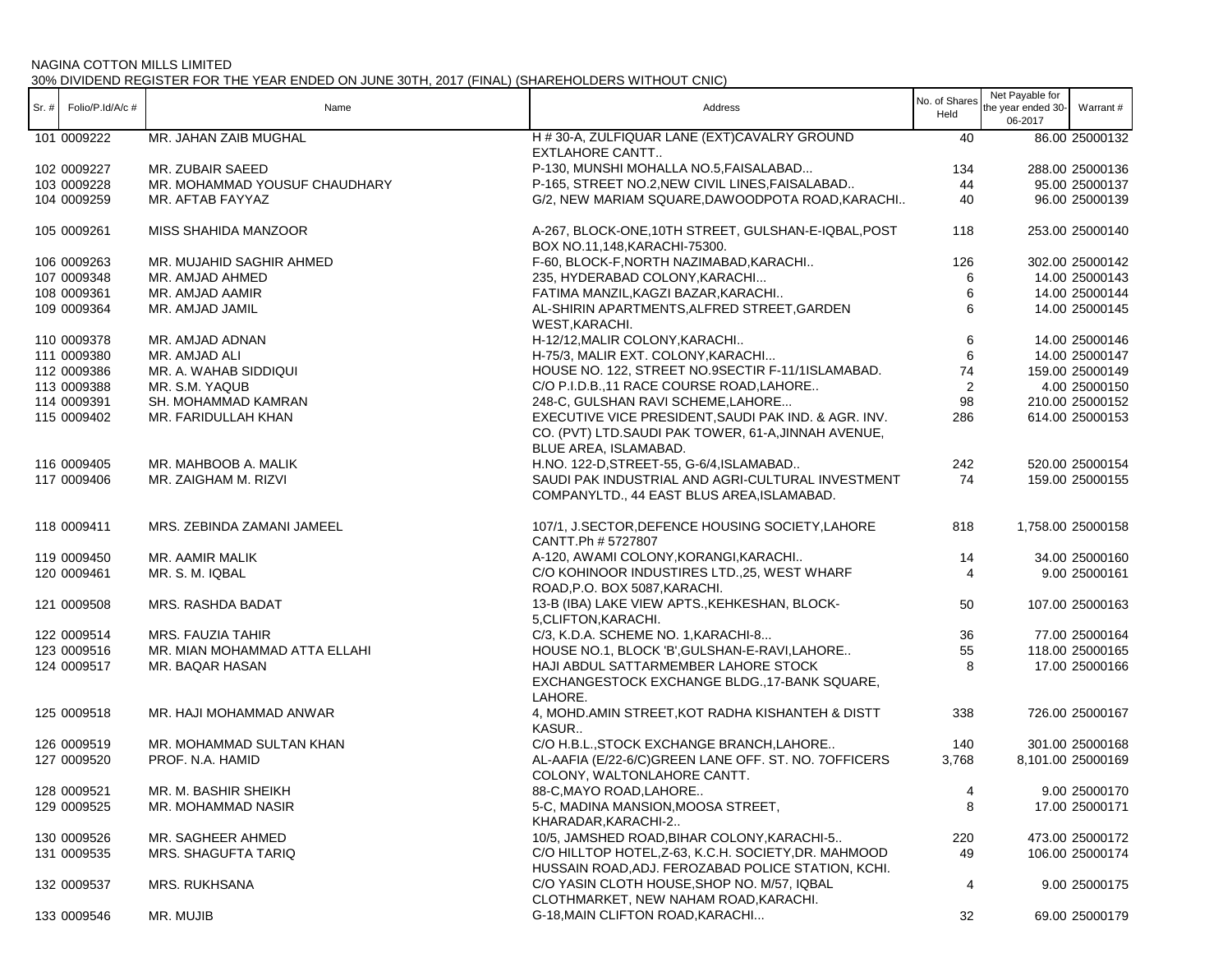| $Sr. #$ Folio/P.Id/A/c # | Name                          | Address                                                                                                                              | No. of Shares<br>Held | Net Payable for<br>the year ended 30-<br>06-2017 | Warrant #         |
|--------------------------|-------------------------------|--------------------------------------------------------------------------------------------------------------------------------------|-----------------------|--------------------------------------------------|-------------------|
| 101 0009222              | MR. JAHAN ZAIB MUGHAL         | H # 30-A, ZULFIQUAR LANE (EXT)CAVALRY GROUND<br><b>EXTLAHORE CANTT</b>                                                               | 40                    |                                                  | 86.00 25000132    |
| 102 0009227              | MR. ZUBAIR SAEED              | P-130, MUNSHI MOHALLA NO.5, FAISALABAD                                                                                               | 134                   |                                                  | 288.00 25000136   |
| 103 0009228              | MR. MOHAMMAD YOUSUF CHAUDHARY | P-165, STREET NO.2, NEW CIVIL LINES, FAISALABAD                                                                                      | 44                    |                                                  | 95.00 25000137    |
| 104 0009259              | MR. AFTAB FAYYAZ              | G/2, NEW MARIAM SQUARE, DAWOODPOTA ROAD, KARACHI                                                                                     | 40                    |                                                  | 96.00 25000139    |
| 105 0009261              | <b>MISS SHAHIDA MANZOOR</b>   | A-267, BLOCK-ONE, 10TH STREET, GULSHAN-E-IQBAL, POST<br>BOX NO.11,148, KARACHI-75300.                                                | 118                   |                                                  | 253.00 25000140   |
| 106 0009263              | MR. MUJAHID SAGHIR AHMED      | F-60, BLOCK-F, NORTH NAZIMABAD, KARACHI                                                                                              | 126                   |                                                  | 302.00 25000142   |
| 107 0009348              | MR. AMJAD AHMED               | 235, HYDERABAD COLONY, KARACHI                                                                                                       | 6                     |                                                  | 14.00 25000143    |
| 108 0009361              | MR. AMJAD AAMIR               | FATIMA MANZIL, KAGZI BAZAR, KARACHI                                                                                                  | 6                     |                                                  | 14.00 25000144    |
| 109 0009364              | MR. AMJAD JAMIL               | AL-SHIRIN APARTMENTS, ALFRED STREET, GARDEN<br>WEST, KARACHI.                                                                        | 6                     |                                                  | 14.00 25000145    |
| 110 0009378              | MR. AMJAD ADNAN               | H-12/12, MALIR COLONY, KARACHI                                                                                                       | 6                     |                                                  | 14.00 25000146    |
| 111 0009380              | MR. AMJAD ALI                 | H-75/3, MALIR EXT. COLONY, KARACHI                                                                                                   | 6                     |                                                  | 14.00 25000147    |
| 112 0009386              | MR. A. WAHAB SIDDIQUI         | HOUSE NO. 122, STREET NO.9SECTIR F-11/1ISLAMABAD.                                                                                    | 74                    |                                                  | 159.00 25000149   |
| 113 0009388              | MR. S.M. YAQUB                | C/O P.I.D.B., 11 RACE COURSE ROAD, LAHORE                                                                                            | 2                     |                                                  | 4.00 25000150     |
| 114 0009391              | SH. MOHAMMAD KAMRAN           | 248-C, GULSHAN RAVI SCHEME, LAHORE                                                                                                   | 98                    |                                                  | 210.00 25000152   |
| 115 0009402              | MR. FARIDULLAH KHAN           | EXECUTIVE VICE PRESIDENT, SAUDI PAK IND. & AGR. INV.<br>CO. (PVT) LTD.SAUDI PAK TOWER, 61-A, JINNAH AVENUE,<br>BLUE AREA, ISLAMABAD. | 286                   |                                                  | 614.00 25000153   |
| 116 0009405              | MR. MAHBOOB A. MALIK          | H.NO. 122-D, STREET-55, G-6/4, ISLAMABAD                                                                                             | 242                   |                                                  | 520.00 25000154   |
| 117 0009406              | MR. ZAIGHAM M. RIZVI          | SAUDI PAK INDUSTRIAL AND AGRI-CULTURAL INVESTMENT<br>COMPANYLTD., 44 EAST BLUS AREA, ISLAMABAD.                                      | 74                    |                                                  | 159.00 25000155   |
| 118 0009411              | MRS. ZEBINDA ZAMANI JAMEEL    | 107/1, J.SECTOR, DEFENCE HOUSING SOCIETY, LAHORE<br>CANTT.Ph # 5727807                                                               | 818                   |                                                  | 1,758.00 25000158 |
| 119 0009450              | MR. AAMIR MALIK               | A-120, AWAMI COLONY, KORANGI, KARACHI                                                                                                | 14                    |                                                  | 34.00 25000160    |
| 120 0009461              | MR. S. M. IQBAL               | C/O KOHINOOR INDUSTIRES LTD.,25, WEST WHARF<br>ROAD, P.O. BOX 5087, KARACHI.                                                         | $\overline{4}$        |                                                  | 9.00 25000161     |
| 121 0009508              | MRS. RASHDA BADAT             | 13-B (IBA) LAKE VIEW APTS., KEHKESHAN, BLOCK-<br>5, CLIFTON, KARACHI.                                                                | 50                    |                                                  | 107.00 25000163   |
| 122 0009514              | MRS. FAUZIA TAHIR             | C/3, K.D.A. SCHEME NO. 1, KARACHI-8                                                                                                  | 36                    |                                                  | 77.00 25000164    |
| 123 0009516              | MR. MIAN MOHAMMAD ATTA ELLAHI | HOUSE NO.1, BLOCK 'B', GULSHAN-E-RAVI, LAHORE                                                                                        | 55                    |                                                  | 118.00 25000165   |
| 124 0009517              | MR. BAQAR HASAN               | HAJI ABDUL SATTARMEMBER LAHORE STOCK<br>EXCHANGESTOCK EXCHANGE BLDG., 17-BANK SQUARE,<br>LAHORE.                                     | 8                     |                                                  | 17.00 25000166    |
| 125 0009518              | MR. HAJI MOHAMMAD ANWAR       | 4, MOHD.AMIN STREET, KOT RADHA KISHANTEH & DISTT<br>KASUR                                                                            | 338                   |                                                  | 726.00 25000167   |
| 126 0009519              | MR. MOHAMMAD SULTAN KHAN      | C/O H.B.L., STOCK EXCHANGE BRANCH, LAHORE                                                                                            | 140                   |                                                  | 301.00 25000168   |
| 127 0009520              | PROF. N.A. HAMID              | AL-AAFIA (E/22-6/C)GREEN LANE OFF. ST. NO. 7OFFICERS<br>COLONY, WALTONLAHORE CANTT.                                                  | 3,768                 |                                                  | 8,101.00 25000169 |
| 128 0009521              | MR. M. BASHIR SHEIKH          | 88-C, MAYO ROAD, LAHORE                                                                                                              | 4                     |                                                  | 9.00 25000170     |
| 129 0009525              | MR. MOHAMMAD NASIR            | 5-C, MADINA MANSION, MOOSA STREET,<br>KHARADAR, KARACHI-2                                                                            | 8                     |                                                  | 17.00 25000171    |
| 130 0009526              | MR. SAGHEER AHMED             | 10/5, JAMSHED ROAD, BIHAR COLONY, KARACHI-5                                                                                          | 220                   |                                                  | 473.00 25000172   |
| 131 0009535              | MRS. SHAGUFTA TARIQ           | C/O HILLTOP HOTEL, Z-63, K.C.H. SOCIETY, DR. MAHMOOD                                                                                 | 49                    |                                                  | 106.00 25000174   |
|                          |                               | HUSSAIN ROAD, ADJ. FEROZABAD POLICE STATION, KCHI.                                                                                   |                       |                                                  |                   |
| 132 0009537              | <b>MRS. RUKHSANA</b>          | C/O YASIN CLOTH HOUSE, SHOP NO. M/57, IQBAL<br>CLOTHMARKET, NEW NAHAM ROAD, KARACHI.                                                 | 4                     |                                                  | 9.00 25000175     |
| 133 0009546              | MR. MUJIB                     | G-18, MAIN CLIFTON ROAD, KARACHI                                                                                                     | 32                    |                                                  | 69.00 25000179    |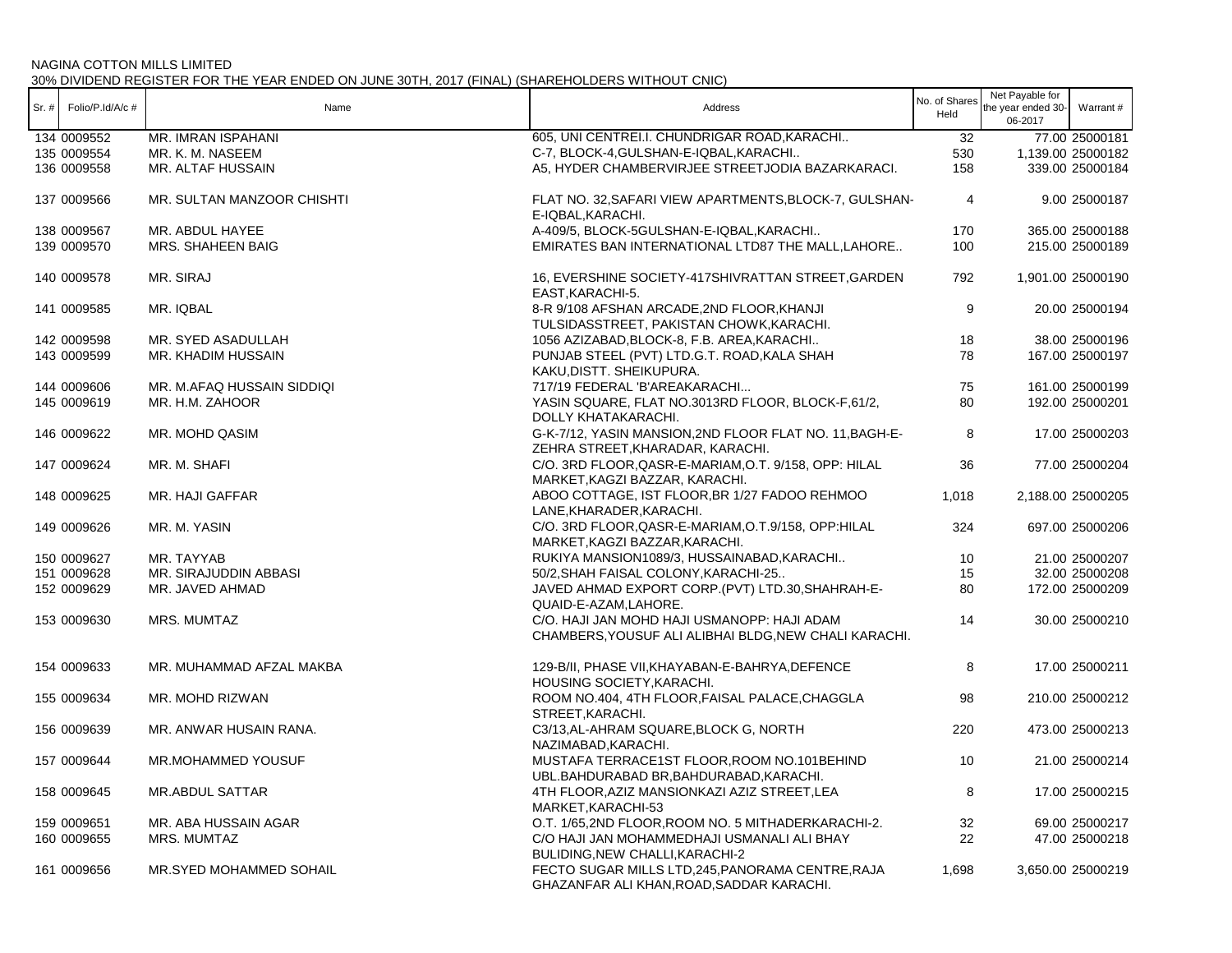| Sr. # | Folio/P.Id/A/c # | Name                       | Address                                                                                              | No. of Shares<br>Held | Net Payable for<br>the year ended 30-<br>06-2017 | Warrant #         |
|-------|------------------|----------------------------|------------------------------------------------------------------------------------------------------|-----------------------|--------------------------------------------------|-------------------|
|       | 134 0009552      | MR. IMRAN ISPAHANI         | 605, UNI CENTREI.I. CHUNDRIGAR ROAD, KARACHI                                                         | 32                    |                                                  | 77.00 25000181    |
|       | 135 0009554      | MR. K. M. NASEEM           | C-7, BLOCK-4, GULSHAN-E-IQBAL, KARACHI                                                               | 530                   |                                                  | 1,139.00 25000182 |
|       | 136 0009558      | MR. ALTAF HUSSAIN          | A5, HYDER CHAMBERVIRJEE STREETJODIA BAZARKARACI.                                                     | 158                   |                                                  | 339.00 25000184   |
|       | 137 0009566      | MR. SULTAN MANZOOR CHISHTI | FLAT NO. 32, SAFARI VIEW APARTMENTS, BLOCK-7, GULSHAN-<br>E-IQBAL, KARACHI.                          | $\overline{4}$        |                                                  | 9.00 25000187     |
|       | 138 0009567      | MR. ABDUL HAYEE            | A-409/5, BLOCK-5GULSHAN-E-IQBAL, KARACHI                                                             | 170                   |                                                  | 365.00 25000188   |
|       | 139 0009570      | MRS. SHAHEEN BAIG          | EMIRATES BAN INTERNATIONAL LTD87 THE MALL, LAHORE                                                    | 100                   |                                                  | 215.00 25000189   |
|       | 140 0009578      | MR. SIRAJ                  | 16, EVERSHINE SOCIETY-417SHIVRATTAN STREET, GARDEN<br>EAST, KARACHI-5.                               | 792                   |                                                  | 1,901.00 25000190 |
|       | 141 0009585      | MR. IQBAL                  | 8-R 9/108 AFSHAN ARCADE, 2ND FLOOR, KHANJI<br>TULSIDASSTREET, PAKISTAN CHOWK, KARACHI.               | 9                     |                                                  | 20.00 25000194    |
|       | 142 0009598      | MR. SYED ASADULLAH         | 1056 AZIZABAD, BLOCK-8, F.B. AREA, KARACHI                                                           | 18                    |                                                  | 38.00 25000196    |
|       | 143 0009599      | MR. KHADIM HUSSAIN         | PUNJAB STEEL (PVT) LTD.G.T. ROAD, KALA SHAH                                                          | 78                    |                                                  | 167.00 25000197   |
|       |                  |                            | KAKU, DISTT. SHEIKUPURA.                                                                             |                       |                                                  |                   |
|       | 144 0009606      | MR. M.AFAQ HUSSAIN SIDDIQI | 717/19 FEDERAL 'B'AREAKARACHI                                                                        | 75                    |                                                  | 161.00 25000199   |
|       | 145 0009619      | MR. H.M. ZAHOOR            | YASIN SQUARE, FLAT NO.3013RD FLOOR, BLOCK-F,61/2,                                                    | 80                    |                                                  | 192.00 25000201   |
|       |                  |                            | DOLLY KHATAKARACHI.                                                                                  |                       |                                                  |                   |
|       | 146 0009622      | MR. MOHD QASIM             | G-K-7/12, YASIN MANSION, 2ND FLOOR FLAT NO. 11, BAGH-E-<br>ZEHRA STREET, KHARADAR, KARACHI.          | 8                     |                                                  | 17.00 25000203    |
|       | 147 0009624      | MR. M. SHAFI               | C/O. 3RD FLOOR, QASR-E-MARIAM, O.T. 9/158, OPP: HILAL<br>MARKET, KAGZI BAZZAR, KARACHI.              | 36                    |                                                  | 77.00 25000204    |
|       | 148 0009625      | MR. HAJI GAFFAR            | ABOO COTTAGE, IST FLOOR, BR 1/27 FADOO REHMOO<br>LANE, KHARADER, KARACHI.                            | 1,018                 |                                                  | 2,188.00 25000205 |
|       | 149 0009626      | MR. M. YASIN               | C/O. 3RD FLOOR, QASR-E-MARIAM, O.T.9/158, OPP: HILAL<br>MARKET, KAGZI BAZZAR, KARACHI.               | 324                   |                                                  | 697.00 25000206   |
|       | 150 0009627      | MR. TAYYAB                 | RUKIYA MANSION1089/3, HUSSAINABAD, KARACHI                                                           | 10                    |                                                  | 21.00 25000207    |
|       | 151 0009628      | MR. SIRAJUDDIN ABBASI      | 50/2, SHAH FAISAL COLONY, KARACHI-25                                                                 | 15                    |                                                  | 32.00 25000208    |
|       | 152 0009629      | MR. JAVED AHMAD            | JAVED AHMAD EXPORT CORP.(PVT) LTD.30, SHAHRAH-E-                                                     | 80                    |                                                  | 172.00 25000209   |
|       |                  |                            | QUAID-E-AZAM, LAHORE.                                                                                |                       |                                                  |                   |
|       | 153 0009630      | MRS. MUMTAZ                | C/O. HAJI JAN MOHD HAJI USMANOPP: HAJI ADAM<br>CHAMBERS, YOUSUF ALI ALIBHAI BLDG, NEW CHALI KARACHI. | 14                    |                                                  | 30.00 25000210    |
|       | 154 0009633      | MR. MUHAMMAD AFZAL MAKBA   | 129-B/II, PHASE VII, KHAYABAN-E-BAHRYA, DEFENCE<br>HOUSING SOCIETY, KARACHI.                         | 8                     |                                                  | 17.00 25000211    |
|       | 155 0009634      | MR. MOHD RIZWAN            | ROOM NO.404, 4TH FLOOR, FAISAL PALACE, CHAGGLA<br>STREET, KARACHI.                                   | 98                    |                                                  | 210.00 25000212   |
|       | 156 0009639      | MR. ANWAR HUSAIN RANA.     | C3/13, AL-AHRAM SQUARE, BLOCK G, NORTH<br>NAZIMABAD, KARACHI.                                        | 220                   |                                                  | 473.00 25000213   |
|       | 157 0009644      | MR.MOHAMMED YOUSUF         | MUSTAFA TERRACE1ST FLOOR, ROOM NO.101BEHIND<br>UBL.BAHDURABAD BR, BAHDURABAD, KARACHI.               | 10                    |                                                  | 21.00 25000214    |
|       | 158 0009645      | MR.ABDUL SATTAR            | 4TH FLOOR, AZIZ MANSIONKAZI AZIZ STREET, LEA<br>MARKET, KARACHI-53                                   | 8                     |                                                  | 17.00 25000215    |
|       | 159 0009651      | MR. ABA HUSSAIN AGAR       | O.T. 1/65,2ND FLOOR, ROOM NO. 5 MITHADERKARACHI-2.                                                   | 32                    |                                                  | 69.00 25000217    |
|       | 160 0009655      | MRS. MUMTAZ                | C/O HAJI JAN MOHAMMEDHAJI USMANALI ALI BHAY                                                          | 22                    |                                                  | 47.00 25000218    |
|       |                  |                            | BULIDING, NEW CHALLI, KARACHI-2                                                                      |                       |                                                  |                   |
|       | 161 0009656      | MR.SYED MOHAMMED SOHAIL    | FECTO SUGAR MILLS LTD,245, PANORAMA CENTRE, RAJA<br>GHAZANFAR ALI KHAN, ROAD, SADDAR KARACHI.        | 1,698                 |                                                  | 3,650.00 25000219 |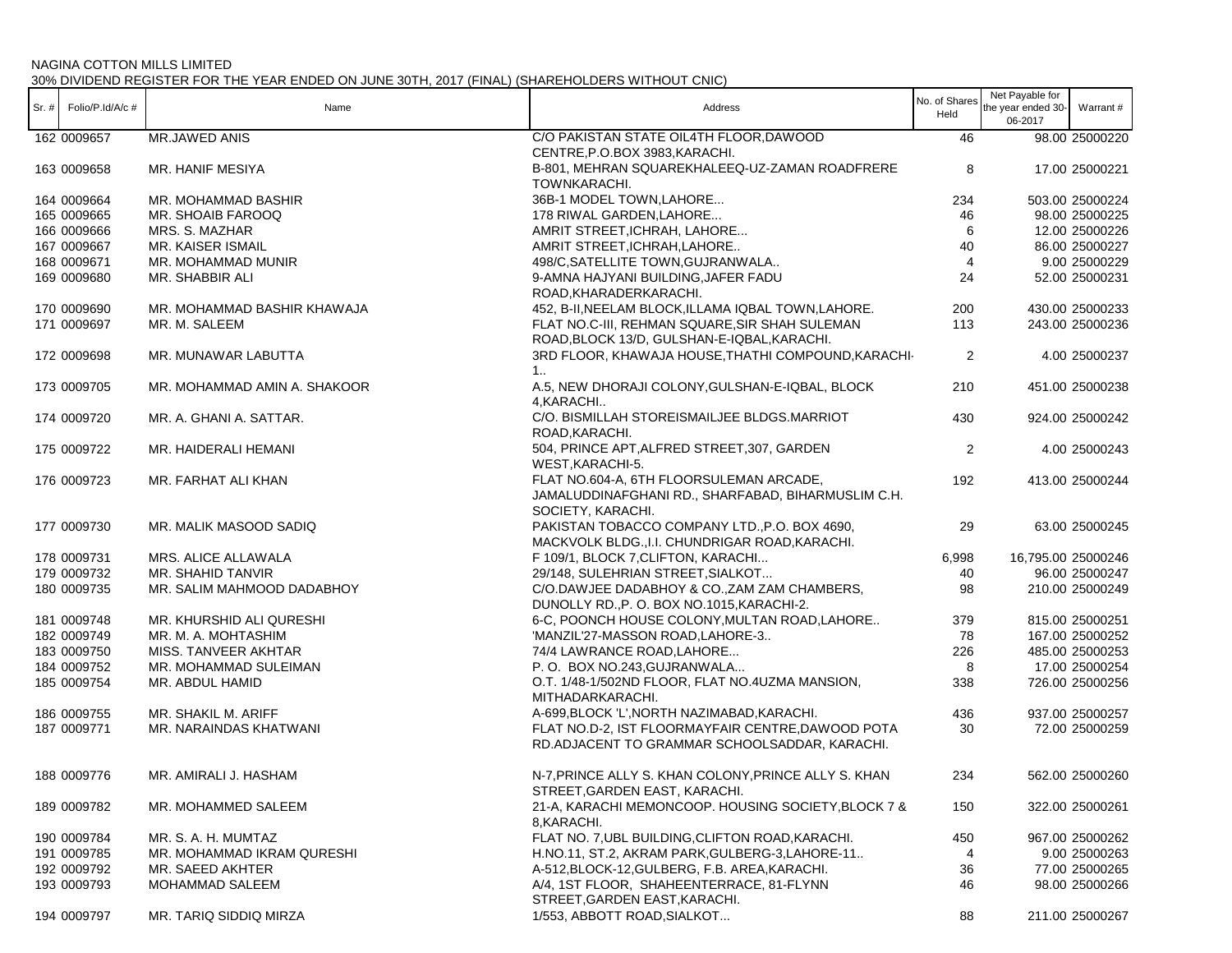|                          |                              |                                                      | No. of Shares  | Net Payable for    |                    |
|--------------------------|------------------------------|------------------------------------------------------|----------------|--------------------|--------------------|
| $Sr. #$ Folio/P.Id/A/c # | Name                         | Address                                              | Held           | the year ended 30- | Warrant #          |
|                          |                              |                                                      |                | 06-2017            |                    |
| 162 0009657              | MR.JAWED ANIS                | C/O PAKISTAN STATE OIL4TH FLOOR, DAWOOD              | 46             |                    | 98.00 25000220     |
|                          |                              | CENTRE, P.O.BOX 3983, KARACHI.                       |                |                    |                    |
| 163 0009658              | MR. HANIF MESIYA             | B-801, MEHRAN SQUAREKHALEEQ-UZ-ZAMAN ROADFRERE       | 8              |                    | 17.00 25000221     |
|                          |                              | TOWNKARACHI.                                         |                |                    |                    |
|                          |                              |                                                      |                |                    |                    |
| 164 0009664              | MR. MOHAMMAD BASHIR          | 36B-1 MODEL TOWN, LAHORE                             | 234            |                    | 503.00 25000224    |
| 165 0009665              | MR. SHOAIB FAROOQ            | 178 RIWAL GARDEN, LAHORE                             | 46             |                    | 98.00 25000225     |
| 166 0009666              | MRS. S. MAZHAR               | AMRIT STREET, ICHRAH, LAHORE                         | 6              |                    | 12.00 25000226     |
| 167 0009667              | MR. KAISER ISMAIL            | AMRIT STREET, ICHRAH, LAHORE                         | 40             |                    | 86.00 25000227     |
| 168 0009671              | MR. MOHAMMAD MUNIR           | 498/C, SATELLITE TOWN, GUJRANWALA                    | $\overline{4}$ |                    | 9.00 25000229      |
| 169 0009680              | MR. SHABBIR ALI              | 9-AMNA HAJYANI BUILDING, JAFER FADU                  | 24             |                    | 52.00 25000231     |
|                          |                              | ROAD, KHARADERKARACHI.                               |                |                    |                    |
|                          |                              |                                                      |                |                    |                    |
| 170 0009690              | MR. MOHAMMAD BASHIR KHAWAJA  | 452, B-II, NEELAM BLOCK, ILLAMA IQBAL TOWN, LAHORE.  | 200            |                    | 430.00 25000233    |
| 171 0009697              | MR. M. SALEEM                | FLAT NO.C-III, REHMAN SQUARE, SIR SHAH SULEMAN       | 113            |                    | 243.00 25000236    |
|                          |                              | ROAD, BLOCK 13/D, GULSHAN-E-IQBAL, KARACHI.          |                |                    |                    |
| 172 0009698              | MR. MUNAWAR LABUTTA          | 3RD FLOOR, KHAWAJA HOUSE, THATHI COMPOUND, KARACHI-  | $\overline{2}$ |                    | 4.00 25000237      |
|                          |                              | 1                                                    |                |                    |                    |
| 173 0009705              |                              | A.5, NEW DHORAJI COLONY, GULSHAN-E-IQBAL, BLOCK      | 210            |                    |                    |
|                          | MR. MOHAMMAD AMIN A. SHAKOOR |                                                      |                |                    | 451.00 25000238    |
|                          |                              | 4, KARACHI                                           |                |                    |                    |
| 174 0009720              | MR. A. GHANI A. SATTAR.      | C/O. BISMILLAH STOREISMAILJEE BLDGS.MARRIOT          | 430            |                    | 924.00 25000242    |
|                          |                              | ROAD, KARACHI.                                       |                |                    |                    |
| 175 0009722              | MR. HAIDERALI HEMANI         | 504, PRINCE APT, ALFRED STREET, 307, GARDEN          | $\overline{2}$ |                    | 4.00 25000243      |
|                          |                              | WEST, KARACHI-5.                                     |                |                    |                    |
| 176 0009723              | MR. FARHAT ALI KHAN          | FLAT NO.604-A, 6TH FLOORSULEMAN ARCADE,              | 192            |                    | 413.00 25000244    |
|                          |                              |                                                      |                |                    |                    |
|                          |                              | JAMALUDDINAFGHANI RD., SHARFABAD, BIHARMUSLIM C.H.   |                |                    |                    |
|                          |                              | SOCIETY, KARACHI.                                    |                |                    |                    |
| 177 0009730              | MR. MALIK MASOOD SADIQ       | PAKISTAN TOBACCO COMPANY LTD., P.O. BOX 4690,        | 29             |                    | 63.00 25000245     |
|                          |                              | MACKVOLK BLDG., I.I. CHUNDRIGAR ROAD, KARACHI.       |                |                    |                    |
| 178 0009731              | MRS. ALICE ALLAWALA          | F 109/1, BLOCK 7, CLIFTON, KARACHI                   | 6,998          |                    | 16,795.00 25000246 |
| 179 0009732              | MR. SHAHID TANVIR            | 29/148, SULEHRIAN STREET, SIALKOT                    | 40             |                    | 96.00 25000247     |
| 180 0009735              | MR. SALIM MAHMOOD DADABHOY   | C/O.DAWJEE DADABHOY & CO., ZAM ZAM CHAMBERS,         | 98             |                    | 210.00 25000249    |
|                          |                              |                                                      |                |                    |                    |
|                          |                              | DUNOLLY RD., P. O. BOX NO.1015, KARACHI-2.           |                |                    |                    |
| 181 0009748              | MR. KHURSHID ALI QURESHI     | 6-C, POONCH HOUSE COLONY, MULTAN ROAD, LAHORE        | 379            |                    | 815.00 25000251    |
| 182 0009749              | MR. M. A. MOHTASHIM          | 'MANZIL'27-MASSON ROAD, LAHORE-3                     | 78             |                    | 167.00 25000252    |
| 183 0009750              | MISS. TANVEER AKHTAR         | 74/4 LAWRANCE ROAD, LAHORE                           | 226            |                    | 485.00 25000253    |
| 184 0009752              | MR. MOHAMMAD SULEIMAN        | P.O. BOX NO.243, GUJRANWALA                          | 8              |                    | 17.00 25000254     |
| 185 0009754              | MR. ABDUL HAMID              | O.T. 1/48-1/502ND FLOOR, FLAT NO.4UZMA MANSION,      | 338            |                    | 726.00 25000256    |
|                          |                              |                                                      |                |                    |                    |
|                          |                              | MITHADARKARACHI.                                     |                |                    |                    |
| 186 0009755              | MR. SHAKIL M. ARIFF          | A-699, BLOCK 'L', NORTH NAZIMABAD, KARACHI.          | 436            |                    | 937.00 25000257    |
| 187 0009771              | MR. NARAINDAS KHATWANI       | FLAT NO.D-2, IST FLOORMAYFAIR CENTRE, DAWOOD POTA    | 30             |                    | 72.00 25000259     |
|                          |                              | RD.ADJACENT TO GRAMMAR SCHOOLSADDAR, KARACHI.        |                |                    |                    |
|                          |                              |                                                      |                |                    |                    |
| 188 0009776              | MR. AMIRALI J. HASHAM        | N-7, PRINCE ALLY S. KHAN COLONY, PRINCE ALLY S. KHAN | 234            |                    | 562.00 25000260    |
|                          |                              | STREET, GARDEN EAST, KARACHI.                        |                |                    |                    |
|                          |                              | 21-A, KARACHI MEMONCOOP. HOUSING SOCIETY, BLOCK 7 &  |                |                    |                    |
| 189 0009782              | MR. MOHAMMED SALEEM          |                                                      | 150            |                    | 322.00 25000261    |
|                          |                              | 8, KARACHI.                                          |                |                    |                    |
| 190 0009784              | MR. S. A. H. MUMTAZ          | FLAT NO. 7, UBL BUILDING, CLIFTON ROAD, KARACHI.     | 450            |                    | 967.00 25000262    |
| 191 0009785              | MR. MOHAMMAD IKRAM QURESHI   | H.NO.11, ST.2, AKRAM PARK, GULBERG-3, LAHORE-11      | 4              |                    | 9.00 25000263      |
| 192 0009792              | MR. SAEED AKHTER             | A-512, BLOCK-12, GULBERG, F.B. AREA, KARACHI.        | 36             |                    | 77.00 25000265     |
| 193 0009793              | <b>MOHAMMAD SALEEM</b>       | A/4, 1ST FLOOR, SHAHEENTERRACE, 81-FLYNN             | 46             |                    | 98.00 25000266     |
|                          |                              | STREET, GARDEN EAST, KARACHI.                        |                |                    |                    |
|                          |                              |                                                      |                |                    |                    |
| 194 0009797              | MR. TARIQ SIDDIQ MIRZA       | 1/553, ABBOTT ROAD, SIALKOT                          | 88             |                    | 211.00 25000267    |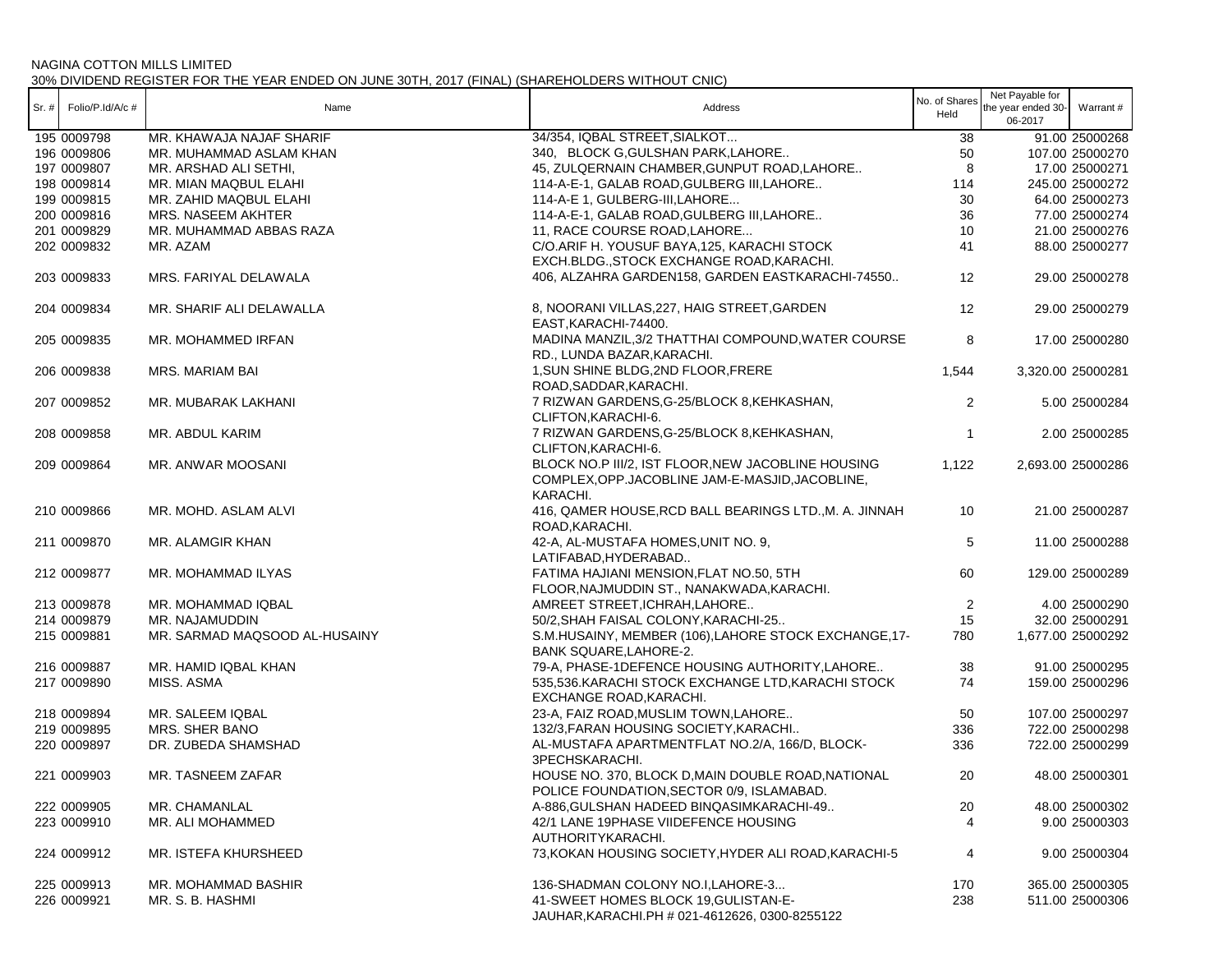| $Sr.$ # | Folio/P.Id/A/c # | Name                          | Address                                                                                                            | No. of Shares<br>Held   | Net Payable for<br>the year ended 30-<br>06-2017 | Warrant #         |
|---------|------------------|-------------------------------|--------------------------------------------------------------------------------------------------------------------|-------------------------|--------------------------------------------------|-------------------|
|         | 195 0009798      | MR. KHAWAJA NAJAF SHARIF      | 34/354, IQBAL STREET, SIALKOT                                                                                      | 38                      |                                                  | 91.00 25000268    |
|         | 196 0009806      | MR. MUHAMMAD ASLAM KHAN       | 340, BLOCK G, GULSHAN PARK, LAHORE                                                                                 | 50                      |                                                  | 107.00 25000270   |
|         | 197 0009807      | MR. ARSHAD ALI SETHI.         | 45, ZULQERNAIN CHAMBER, GUNPUT ROAD, LAHORE                                                                        | 8                       |                                                  | 17.00 25000271    |
|         | 198 0009814      | MR. MIAN MAQBUL ELAHI         | 114-A-E-1, GALAB ROAD, GULBERG III, LAHORE                                                                         | 114                     |                                                  | 245.00 25000272   |
|         | 199 0009815      | MR. ZAHID MAQBUL ELAHI        | 114-A-E 1, GULBERG-III, LAHORE                                                                                     | 30                      |                                                  | 64.00 25000273    |
|         | 200 0009816      | MRS. NASEEM AKHTER            | 114-A-E-1, GALAB ROAD, GULBERG III, LAHORE                                                                         | 36                      |                                                  | 77.00 25000274    |
|         | 201 0009829      | MR. MUHAMMAD ABBAS RAZA       | 11, RACE COURSE ROAD, LAHORE                                                                                       | 10                      |                                                  | 21.00 25000276    |
|         | 202 0009832      | MR. AZAM                      | C/O.ARIF H. YOUSUF BAYA, 125, KARACHI STOCK                                                                        | 41                      |                                                  | 88.00 25000277    |
|         |                  |                               | EXCH.BLDG., STOCK EXCHANGE ROAD, KARACHI.                                                                          |                         |                                                  |                   |
|         | 203 0009833      | MRS. FARIYAL DELAWALA         | 406, ALZAHRA GARDEN158, GARDEN EASTKARACHI-74550                                                                   | 12                      |                                                  | 29.00 25000278    |
|         | 204 0009834      | MR. SHARIF ALI DELAWALLA      | 8, NOORANI VILLAS, 227, HAIG STREET, GARDEN                                                                        | 12                      |                                                  | 29.00 25000279    |
|         |                  |                               | EAST, KARACHI-74400.                                                                                               |                         |                                                  |                   |
|         | 205 0009835      | MR. MOHAMMED IRFAN            | MADINA MANZIL, 3/2 THATTHAI COMPOUND, WATER COURSE<br>RD., LUNDA BAZAR, KARACHI.                                   | 8                       |                                                  | 17.00 25000280    |
|         | 206 0009838      | MRS. MARIAM BAI               | 1, SUN SHINE BLDG, 2ND FLOOR, FRERE<br>ROAD, SADDAR, KARACHI.                                                      | 1,544                   |                                                  | 3,320.00 25000281 |
|         | 207 0009852      | MR. MUBARAK LAKHANI           | 7 RIZWAN GARDENS, G-25/BLOCK 8, KEHKASHAN,<br>CLIFTON, KARACHI-6.                                                  | $\overline{2}$          |                                                  | 5.00 25000284     |
|         | 208 0009858      | MR. ABDUL KARIM               | 7 RIZWAN GARDENS, G-25/BLOCK 8, KEHKASHAN,<br>CLIFTON.KARACHI-6.                                                   | $\overline{\mathbf{1}}$ |                                                  | 2.00 25000285     |
|         | 209 0009864      | MR. ANWAR MOOSANI             | BLOCK NO.P III/2, IST FLOOR, NEW JACOBLINE HOUSING<br>COMPLEX, OPP. JACOBLINE JAM-E-MASJID, JACOBLINE,<br>KARACHI. | 1,122                   |                                                  | 2,693.00 25000286 |
|         | 210 0009866      | MR. MOHD. ASLAM ALVI          | 416, QAMER HOUSE, RCD BALL BEARINGS LTD., M. A. JINNAH<br>ROAD, KARACHI.                                           | 10                      |                                                  | 21.00 25000287    |
|         | 211 0009870      | MR. ALAMGIR KHAN              | 42-A, AL-MUSTAFA HOMES, UNIT NO. 9,<br>LATIFABAD, HYDERABAD                                                        | 5                       |                                                  | 11.00 25000288    |
|         | 212 0009877      | MR. MOHAMMAD ILYAS            | FATIMA HAJIANI MENSION, FLAT NO.50, 5TH<br>FLOOR, NAJMUDDIN ST., NANAKWADA, KARACHI.                               | 60                      |                                                  | 129.00 25000289   |
|         | 213 0009878      | MR. MOHAMMAD IQBAL            | AMREET STREET, ICHRAH, LAHORE                                                                                      | 2                       |                                                  | 4.00 25000290     |
|         | 214 0009879      | MR. NAJAMUDDIN                | 50/2, SHAH FAISAL COLONY, KARACHI-25                                                                               | 15                      |                                                  | 32.00 25000291    |
|         | 215 0009881      | MR. SARMAD MAQSOOD AL-HUSAINY | S.M.HUSAINY, MEMBER (106), LAHORE STOCK EXCHANGE, 17-<br>BANK SQUARE, LAHORE-2.                                    | 780                     |                                                  | 1,677.00 25000292 |
|         | 216 0009887      | MR. HAMID IQBAL KHAN          | 79-A, PHASE-1DEFENCE HOUSING AUTHORITY, LAHORE                                                                     | 38                      |                                                  | 91.00 25000295    |
|         | 217 0009890      | MISS. ASMA                    | 535,536.KARACHI STOCK EXCHANGE LTD,KARACHI STOCK<br>EXCHANGE ROAD, KARACHI.                                        | 74                      |                                                  | 159.00 25000296   |
|         | 218 0009894      | MR. SALEEM IQBAL              | 23-A, FAIZ ROAD, MUSLIM TOWN, LAHORE                                                                               | 50                      |                                                  | 107.00 25000297   |
|         | 219 0009895      | MRS. SHER BANO                | 132/3, FARAN HOUSING SOCIETY, KARACHI                                                                              | 336                     |                                                  | 722.00 25000298   |
|         | 220 0009897      | DR. ZUBEDA SHAMSHAD           | AL-MUSTAFA APARTMENTFLAT NO.2/A, 166/D, BLOCK-<br>3PECHSKARACHI.                                                   | 336                     |                                                  | 722.00 25000299   |
|         | 221 0009903      | MR. TASNEEM ZAFAR             | HOUSE NO. 370, BLOCK D, MAIN DOUBLE ROAD, NATIONAL<br>POLICE FOUNDATION,SECTOR 0/9, ISLAMABAD.                     | 20                      |                                                  | 48.00 25000301    |
|         | 222 0009905      | MR. CHAMANLAL                 | A-886, GULSHAN HADEED BINQASIMKARACHI-49                                                                           | 20                      |                                                  | 48.00 25000302    |
|         | 223 0009910      | MR. ALI MOHAMMED              | 42/1 LANE 19PHASE VIIDEFENCE HOUSING                                                                               |                         |                                                  | 9.00 25000303     |
|         |                  |                               | AUTHORITYKARACHI.                                                                                                  |                         |                                                  |                   |
|         | 224 0009912      | MR. ISTEFA KHURSHEED          | 73, KOKAN HOUSING SOCIETY, HYDER ALI ROAD, KARACHI-5                                                               | 4                       |                                                  | 9.00 25000304     |
|         | 225 0009913      | MR. MOHAMMAD BASHIR           | 136-SHADMAN COLONY NO.I,LAHORE-3                                                                                   | 170                     |                                                  | 365.00 25000305   |
|         | 226 0009921      | MR. S. B. HASHMI              | 41-SWEET HOMES BLOCK 19, GULISTAN-E-<br>JAUHAR, KARACHI.PH # 021-4612626, 0300-8255122                             | 238                     |                                                  | 511.00 25000306   |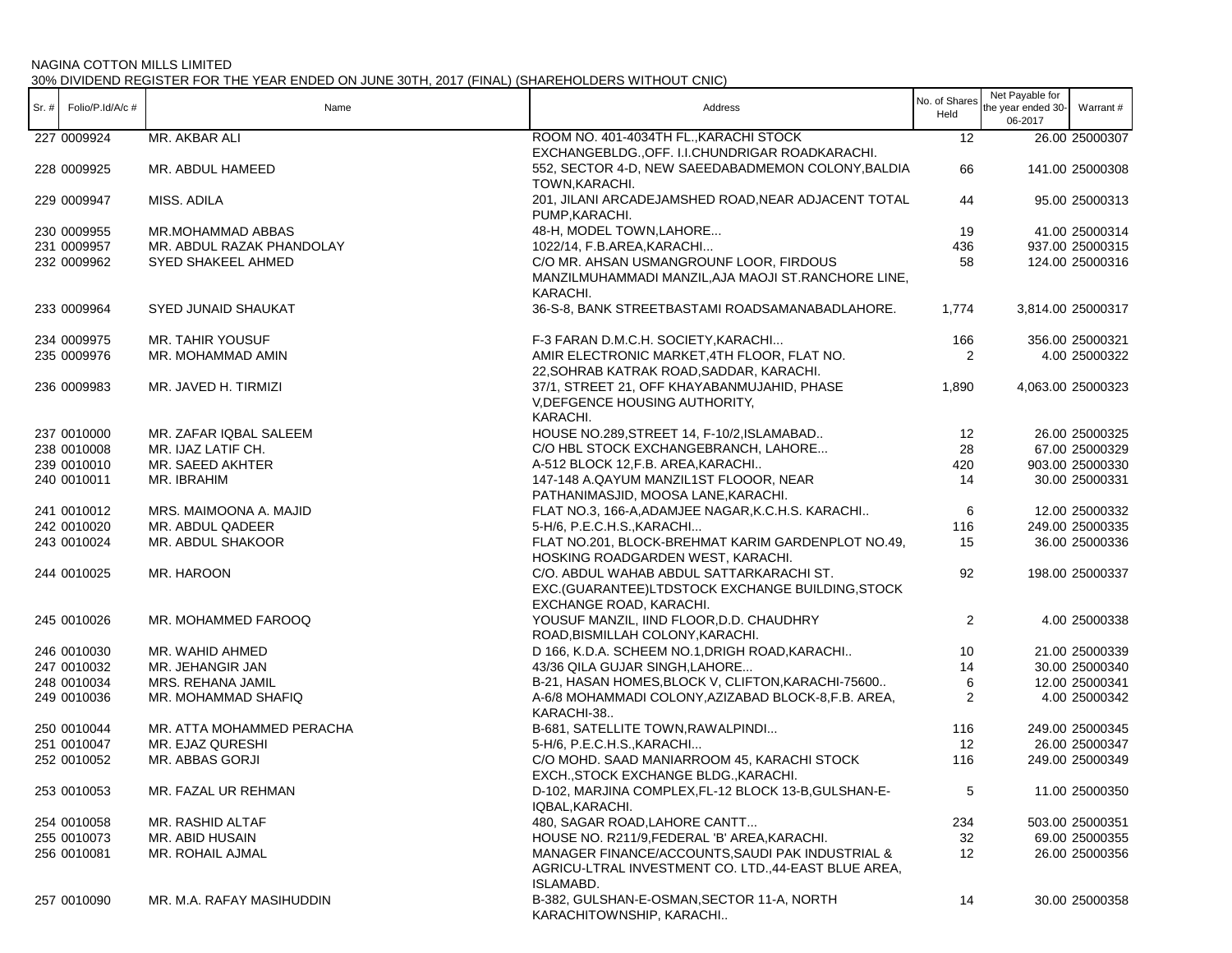|                              |                            |                                                      | No. of Shares  | Net Payable for    |                   |
|------------------------------|----------------------------|------------------------------------------------------|----------------|--------------------|-------------------|
| Sr. $\#$ Folio/P.Id/A/c $\#$ | Name                       | Address                                              | Held           | the year ended 30- | Warrant #         |
|                              |                            |                                                      |                | 06-2017            |                   |
| 227 0009924                  | MR. AKBAR ALI              | ROOM NO. 401-4034TH FL., KARACHI STOCK               | 12             |                    | 26.00 25000307    |
|                              |                            | EXCHANGEBLDG., OFF. I.I.CHUNDRIGAR ROADKARACHI.      |                |                    |                   |
| 228 0009925                  | MR. ABDUL HAMEED           | 552, SECTOR 4-D, NEW SAEEDABADMEMON COLONY, BALDIA   | 66             |                    | 141.00 25000308   |
|                              |                            | TOWN, KARACHI.                                       |                |                    |                   |
| 229 0009947                  | MISS. ADILA                | 201, JILANI ARCADEJAMSHED ROAD, NEAR ADJACENT TOTAL  | 44             |                    | 95.00 25000313    |
|                              |                            | PUMP, KARACHI.                                       |                |                    |                   |
| 230 0009955                  | MR.MOHAMMAD ABBAS          | 48-H, MODEL TOWN, LAHORE                             | 19             |                    | 41.00 25000314    |
| 231 0009957                  | MR. ABDUL RAZAK PHANDOLAY  | 1022/14, F.B.AREA, KARACHI                           | 436            |                    | 937.00 25000315   |
| 232 0009962                  | <b>SYED SHAKEEL AHMED</b>  | C/O MR. AHSAN USMANGROUNF LOOR. FIRDOUS              | 58             |                    | 124.00 25000316   |
|                              |                            | MANZILMUHAMMADI MANZIL, AJA MAOJI ST. RANCHORE LINE, |                |                    |                   |
|                              |                            | KARACHI.                                             |                |                    |                   |
| 233 0009964                  | <b>SYED JUNAID SHAUKAT</b> |                                                      | 1,774          |                    | 3,814.00 25000317 |
|                              |                            | 36-S-8, BANK STREETBASTAMI ROADSAMANABADLAHORE.      |                |                    |                   |
| 234 0009975                  | MR. TAHIR YOUSUF           | F-3 FARAN D.M.C.H. SOCIETY, KARACHI                  | 166            |                    | 356.00 25000321   |
| 235 0009976                  | MR. MOHAMMAD AMIN          | AMIR ELECTRONIC MARKET, 4TH FLOOR, FLAT NO.          | 2              |                    | 4.00 25000322     |
|                              |                            | 22, SOHRAB KATRAK ROAD, SADDAR, KARACHI.             |                |                    |                   |
| 236 0009983                  | MR. JAVED H. TIRMIZI       | 37/1, STREET 21, OFF KHAYABANMUJAHID, PHASE          | 1,890          |                    | 4,063.00 25000323 |
|                              |                            | V, DEFGENCE HOUSING AUTHORITY,                       |                |                    |                   |
|                              |                            | KARACHI.                                             |                |                    |                   |
| 237 0010000                  | MR. ZAFAR IQBAL SALEEM     | HOUSE NO.289, STREET 14, F-10/2, ISLAMABAD           | 12             |                    | 26.00 25000325    |
| 238 0010008                  |                            |                                                      |                |                    |                   |
|                              | MR. IJAZ LATIF CH.         | C/O HBL STOCK EXCHANGEBRANCH, LAHORE                 | 28             |                    | 67.00 25000329    |
| 239 0010010                  | MR. SAEED AKHTER           | A-512 BLOCK 12, F.B. AREA, KARACHI                   | 420            |                    | 903.00 25000330   |
| 240 0010011                  | MR. IBRAHIM                | 147-148 A.QAYUM MANZIL1ST FLOOOR, NEAR               | 14             |                    | 30.00 25000331    |
|                              |                            | PATHANIMASJID, MOOSA LANE, KARACHI.                  |                |                    |                   |
| 241 0010012                  | MRS. MAIMOONA A. MAJID     | FLAT NO.3, 166-A, ADAMJEE NAGAR, K.C.H.S. KARACHI    | 6              |                    | 12.00 25000332    |
| 242 0010020                  | MR. ABDUL QADEER           | 5-H/6, P.E.C.H.S., KARACHI                           | 116            |                    | 249.00 25000335   |
| 243 0010024                  | MR. ABDUL SHAKOOR          | FLAT NO.201, BLOCK-BREHMAT KARIM GARDENPLOT NO.49,   | 15             |                    | 36.00 25000336    |
|                              |                            | HOSKING ROADGARDEN WEST, KARACHI.                    |                |                    |                   |
| 244 0010025                  | MR. HAROON                 | C/O. ABDUL WAHAB ABDUL SATTARKARACHI ST.             | 92             |                    | 198.00 25000337   |
|                              |                            | EXC.(GUARANTEE)LTDSTOCK EXCHANGE BUILDING, STOCK     |                |                    |                   |
|                              |                            | EXCHANGE ROAD, KARACHI.                              |                |                    |                   |
| 245 0010026                  | MR. MOHAMMED FAROOQ        | YOUSUF MANZIL, IIND FLOOR, D.D. CHAUDHRY             | $\overline{2}$ |                    | 4.00 25000338     |
|                              |                            | ROAD, BISMILLAH COLONY, KARACHI.                     |                |                    |                   |
| 246 0010030                  | MR. WAHID AHMED            | D 166, K.D.A. SCHEEM NO.1, DRIGH ROAD, KARACHI       | 10             |                    | 21.00 25000339    |
| 247 0010032                  | MR. JEHANGIR JAN           | 43/36 QILA GUJAR SINGH, LAHORE                       | 14             |                    | 30.00 25000340    |
| 248 0010034                  | MRS. REHANA JAMIL          | B-21, HASAN HOMES, BLOCK V, CLIFTON, KARACHI-75600   | 6              |                    | 12.00 25000341    |
| 249 0010036                  | MR. MOHAMMAD SHAFIQ        | A-6/8 MOHAMMADI COLONY, AZIZABAD BLOCK-8, F.B. AREA, | 2              |                    | 4.00 25000342     |
|                              |                            | KARACHI-38                                           |                |                    |                   |
| 250 0010044                  | MR. ATTA MOHAMMED PERACHA  | B-681, SATELLITE TOWN, RAWALPINDI                    | 116            |                    | 249.00 25000345   |
| 251 0010047                  | MR. EJAZ QURESHI           | 5-H/6, P.E.C.H.S., KARACHI                           | 12             |                    | 26.00 25000347    |
| 252 0010052                  | MR. ABBAS GORJI            | C/O MOHD. SAAD MANIARROOM 45, KARACHI STOCK          | 116            |                    | 249.00 25000349   |
|                              |                            | EXCH., STOCK EXCHANGE BLDG., KARACHI.                |                |                    |                   |
| 253 0010053                  | MR. FAZAL UR REHMAN        | D-102, MARJINA COMPLEX, FL-12 BLOCK 13-B, GULSHAN-E- | 5              |                    | 11.00 25000350    |
|                              |                            | IQBAL, KARACHI.                                      |                |                    |                   |
| 254 0010058                  | MR. RASHID ALTAF           | 480, SAGAR ROAD, LAHORE CANTT                        | 234            |                    | 503.00 25000351   |
| 255 0010073                  | MR. ABID HUSAIN            | HOUSE NO. R211/9, FEDERAL 'B' AREA, KARACHI.         | 32             |                    | 69.00 25000355    |
| 256 0010081                  | MR. ROHAIL AJMAL           | MANAGER FINANCE/ACCOUNTS, SAUDI PAK INDUSTRIAL &     | 12             |                    | 26.00 25000356    |
|                              |                            | AGRICU-LTRAL INVESTMENT CO. LTD.,44-EAST BLUE AREA,  |                |                    |                   |
|                              |                            | ISLAMABD.                                            |                |                    |                   |
| 257 0010090                  | MR. M.A. RAFAY MASIHUDDIN  | B-382, GULSHAN-E-OSMAN, SECTOR 11-A, NORTH           | 14             |                    | 30.00 25000358    |
|                              |                            | KARACHITOWNSHIP, KARACHI                             |                |                    |                   |
|                              |                            |                                                      |                |                    |                   |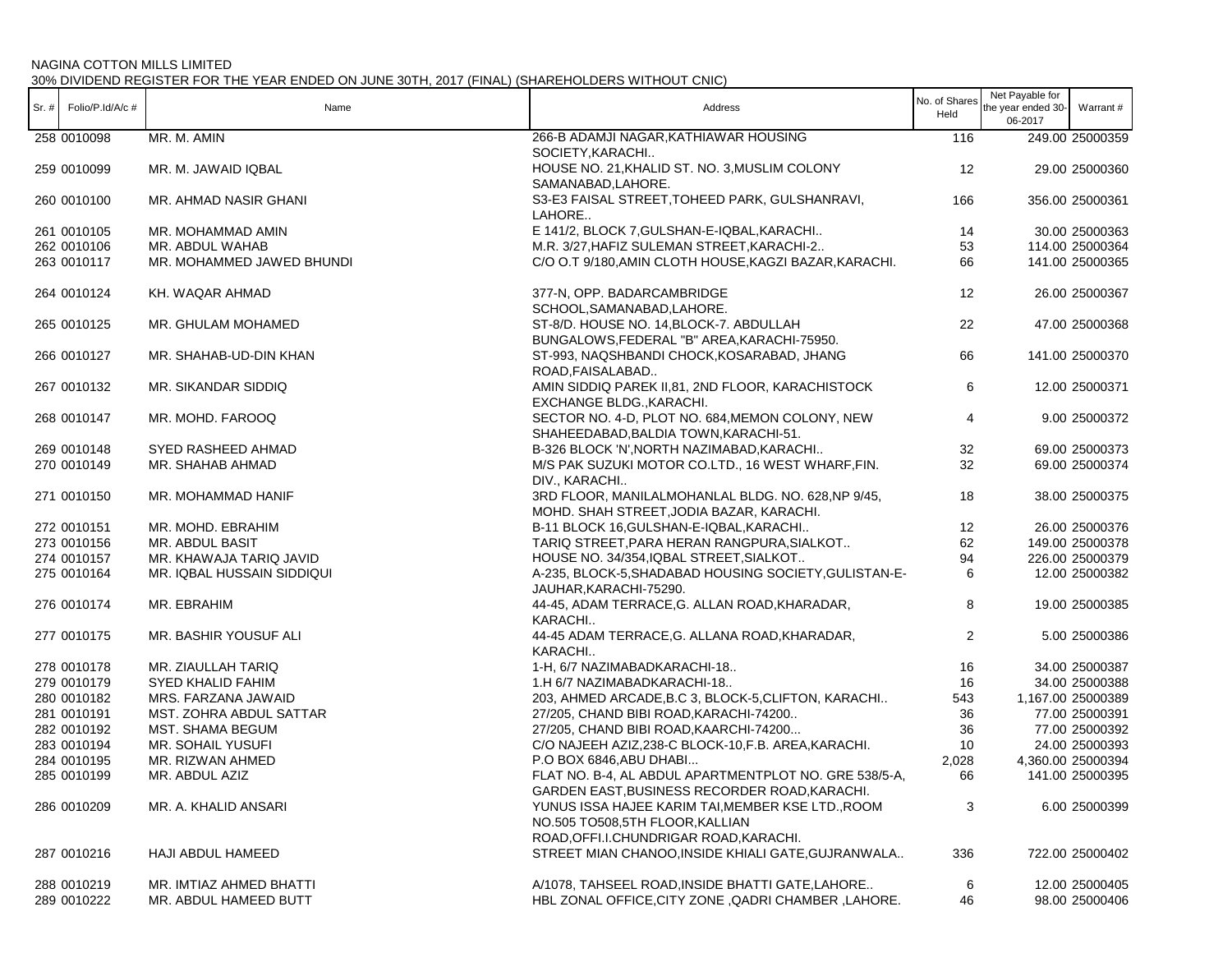|         |                  |                            |                                                        | No. of Shares  | Net Payable for    |                   |
|---------|------------------|----------------------------|--------------------------------------------------------|----------------|--------------------|-------------------|
| $Sr.$ # | Folio/P.Id/A/c # | Name                       | Address                                                | Held           | the year ended 30- | Warrant #         |
|         |                  |                            |                                                        |                | 06-2017            |                   |
|         | 258 0010098      | MR. M. AMIN                | 266-B ADAMJI NAGAR, KATHIAWAR HOUSING                  | 116            |                    | 249.00 25000359   |
|         |                  |                            | SOCIETY, KARACHI                                       |                |                    |                   |
|         | 259 0010099      | MR. M. JAWAID IQBAL        | HOUSE NO. 21, KHALID ST. NO. 3, MUSLIM COLONY          | 12             |                    | 29.00 25000360    |
|         |                  |                            | SAMANABAD.LAHORE.                                      |                |                    |                   |
|         | 260 0010100      | MR. AHMAD NASIR GHANI      | S3-E3 FAISAL STREET, TOHEED PARK, GULSHANRAVI,         | 166            |                    | 356.00 25000361   |
|         |                  |                            | LAHORE                                                 |                |                    |                   |
|         | 261 0010105      | MR. MOHAMMAD AMIN          | E 141/2, BLOCK 7, GULSHAN-E-IQBAL, KARACHI             | 14             |                    | 30.00 25000363    |
|         | 262 0010106      | MR. ABDUL WAHAB            | M.R. 3/27, HAFIZ SULEMAN STREET, KARACHI-2             | 53             |                    | 114.00 25000364   |
|         | 263 0010117      | MR. MOHAMMED JAWED BHUNDI  | C/O O.T 9/180, AMIN CLOTH HOUSE, KAGZI BAZAR, KARACHI. | 66             |                    | 141.00 25000365   |
|         |                  |                            |                                                        |                |                    |                   |
|         | 264 0010124      | KH. WAQAR AHMAD            | 377-N, OPP. BADARCAMBRIDGE                             | 12             |                    | 26.00 25000367    |
|         |                  |                            | SCHOOL, SAMANABAD, LAHORE.                             |                |                    |                   |
|         | 265 0010125      | MR. GHULAM MOHAMED         | ST-8/D. HOUSE NO. 14, BLOCK-7. ABDULLAH                | 22             |                    | 47.00 25000368    |
|         |                  |                            | BUNGALOWS, FEDERAL "B" AREA, KARACHI-75950.            |                |                    |                   |
|         |                  |                            |                                                        |                |                    |                   |
|         | 266 0010127      | MR. SHAHAB-UD-DIN KHAN     | ST-993, NAQSHBANDI CHOCK, KOSARABAD, JHANG             | 66             |                    | 141.00 25000370   |
|         |                  |                            | ROAD, FAISALABAD                                       |                |                    |                   |
|         | 267 0010132      | MR. SIKANDAR SIDDIQ        | AMIN SIDDIQ PAREK II,81, 2ND FLOOR, KARACHISTOCK       | 6              |                    | 12.00 25000371    |
|         |                  |                            | EXCHANGE BLDG., KARACHI.                               |                |                    |                   |
|         | 268 0010147      | MR. MOHD. FAROOQ           | SECTOR NO. 4-D, PLOT NO. 684, MEMON COLONY, NEW        | 4              |                    | 9.00 25000372     |
|         |                  |                            | SHAHEEDABAD, BALDIA TOWN, KARACHI-51.                  |                |                    |                   |
|         | 269 0010148      | SYED RASHEED AHMAD         | B-326 BLOCK 'N', NORTH NAZIMABAD, KARACHI              | 32             |                    | 69.00 25000373    |
|         | 270 0010149      | MR. SHAHAB AHMAD           | M/S PAK SUZUKI MOTOR CO.LTD., 16 WEST WHARF, FIN.      | 32             |                    | 69.00 25000374    |
|         |                  |                            | DIV., KARACHI                                          |                |                    |                   |
|         | 271 0010150      | MR. MOHAMMAD HANIF         | 3RD FLOOR, MANILALMOHANLAL BLDG. NO. 628, NP 9/45,     | 18             |                    | 38.00 25000375    |
|         |                  |                            | MOHD. SHAH STREET, JODIA BAZAR, KARACHI.               |                |                    |                   |
|         | 272 0010151      | MR. MOHD. EBRAHIM          | B-11 BLOCK 16, GULSHAN-E-IQBAL, KARACHI                | 12             |                    | 26.00 25000376    |
|         | 273 0010156      | MR. ABDUL BASIT            | TARIQ STREET, PARA HERAN RANGPURA, SIALKOT             | 62             |                    | 149.00 25000378   |
|         | 274 0010157      | MR. KHAWAJA TARIQ JAVID    | HOUSE NO. 34/354, IQBAL STREET, SIALKOT                | 94             |                    | 226.00 25000379   |
|         | 275 0010164      | MR. IQBAL HUSSAIN SIDDIQUI | A-235, BLOCK-5, SHADABAD HOUSING SOCIETY, GULISTAN-E-  | 6              |                    | 12.00 25000382    |
|         |                  |                            | JAUHAR, KARACHI-75290.                                 |                |                    |                   |
|         | 276 0010174      | MR. EBRAHIM                | 44-45, ADAM TERRACE, G. ALLAN ROAD, KHARADAR,          | 8              |                    | 19.00 25000385    |
|         |                  |                            | KARACHI                                                |                |                    |                   |
|         | 277 0010175      | MR. BASHIR YOUSUF ALI      | 44-45 ADAM TERRACE, G. ALLANA ROAD, KHARADAR,          | $\overline{2}$ |                    | 5.00 25000386     |
|         |                  |                            | KARACHI                                                |                |                    |                   |
|         | 278 0010178      | MR. ZIAULLAH TARIQ         | 1-H, 6/7 NAZIMABADKARACHI-18                           | 16             |                    | 34.00 25000387    |
|         | 279 0010179      | <b>SYED KHALID FAHIM</b>   | 1.H 6/7 NAZIMABADKARACHI-18                            | 16             |                    | 34.00 25000388    |
|         |                  |                            |                                                        |                |                    |                   |
|         | 280 0010182      | MRS. FARZANA JAWAID        | 203, AHMED ARCADE, B.C 3, BLOCK-5, CLIFTON, KARACHI    | 543            |                    | 1,167.00 25000389 |
|         | 281 0010191      | MST. ZOHRA ABDUL SATTAR    | 27/205, CHAND BIBI ROAD, KARACHI-74200                 | 36             |                    | 77.00 25000391    |
|         | 282 0010192      | <b>MST. SHAMA BEGUM</b>    | 27/205, CHAND BIBI ROAD, KAARCHI-74200                 | 36             |                    | 77.00 25000392    |
|         | 283 0010194      | MR. SOHAIL YUSUFI          | C/O NAJEEH AZIZ,238-C BLOCK-10, F.B. AREA, KARACHI.    | 10             |                    | 24.00 25000393    |
|         | 284 0010195      | MR. RIZWAN AHMED           | P.O BOX 6846, ABU DHABI                                | 2,028          |                    | 4,360.00 25000394 |
|         | 285 0010199      | MR. ABDUL AZIZ             | FLAT NO. B-4, AL ABDUL APARTMENTPLOT NO. GRE 538/5-A,  | 66             |                    | 141.00 25000395   |
|         |                  |                            | GARDEN EAST, BUSINESS RECORDER ROAD, KARACHI.          |                |                    |                   |
|         | 286 0010209      | MR. A. KHALID ANSARI       | YUNUS ISSA HAJEE KARIM TAI, MEMBER KSE LTD., ROOM      | 3              |                    | 6.00 25000399     |
|         |                  |                            | NO.505 TO508,5TH FLOOR, KALLIAN                        |                |                    |                   |
|         |                  |                            | ROAD, OFFI.I.CHUNDRIGAR ROAD, KARACHI.                 |                |                    |                   |
|         | 287 0010216      | HAJI ABDUL HAMEED          | STREET MIAN CHANOO, INSIDE KHIALI GATE, GUJRANWALA     | 336            |                    | 722.00 25000402   |
|         |                  |                            |                                                        |                |                    |                   |
|         | 288 0010219      | MR. IMTIAZ AHMED BHATTI    | A/1078, TAHSEEL ROAD, INSIDE BHATTI GATE, LAHORE       | 6              |                    | 12.00 25000405    |
|         | 289 0010222      | MR. ABDUL HAMEED BUTT      | HBL ZONAL OFFICE, CITY ZONE, QADRI CHAMBER, LAHORE.    | 46             |                    | 98.00 25000406    |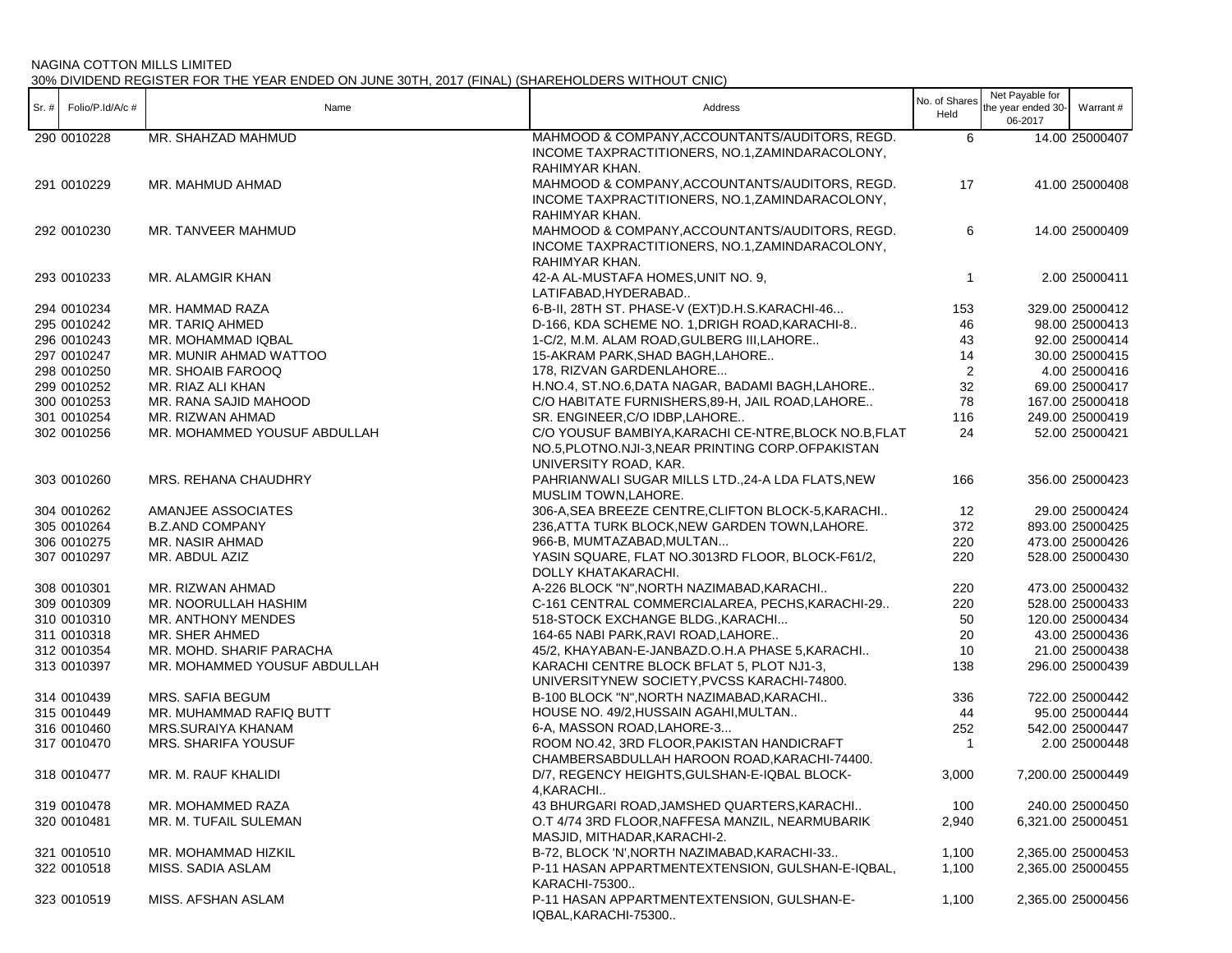| $Sr.$ # | Folio/P.Id/A/c # | Name                         | Address                                                                                                                             | No. of Shares<br>Held | Net Payable for<br>the year ended 30-<br>06-2017 | Warrant#          |
|---------|------------------|------------------------------|-------------------------------------------------------------------------------------------------------------------------------------|-----------------------|--------------------------------------------------|-------------------|
|         | 290 0010228      | MR. SHAHZAD MAHMUD           | MAHMOOD & COMPANY, ACCOUNTANTS/AUDITORS, REGD.<br>INCOME TAXPRACTITIONERS, NO.1, ZAMINDARACOLONY,<br>RAHIMYAR KHAN.                 | 6                     |                                                  | 14.00 25000407    |
|         | 291 0010229      | MR. MAHMUD AHMAD             | MAHMOOD & COMPANY, ACCOUNTANTS/AUDITORS, REGD.<br>INCOME TAXPRACTITIONERS, NO.1, ZAMINDARACOLONY,<br>RAHIMYAR KHAN.                 | 17                    |                                                  | 41.00 25000408    |
|         | 292 0010230      | MR. TANVEER MAHMUD           | MAHMOOD & COMPANY, ACCOUNTANTS/AUDITORS, REGD.<br>INCOME TAXPRACTITIONERS, NO.1, ZAMINDARACOLONY,<br>RAHIMYAR KHAN.                 | 6                     |                                                  | 14.00 25000409    |
|         | 293 0010233      | MR. ALAMGIR KHAN             | 42-A AL-MUSTAFA HOMES, UNIT NO. 9,<br>LATIFABAD, HYDERABAD                                                                          | $\mathbf{1}$          |                                                  | 2.00 25000411     |
|         | 294 0010234      | MR. HAMMAD RAZA              | 6-B-II, 28TH ST. PHASE-V (EXT)D.H.S.KARACHI-46                                                                                      | 153                   |                                                  | 329.00 25000412   |
|         | 295 0010242      | MR. TARIQ AHMED              | D-166, KDA SCHEME NO. 1, DRIGH ROAD, KARACHI-8                                                                                      | 46                    |                                                  | 98.00 25000413    |
|         | 296 0010243      | MR. MOHAMMAD IQBAL           | 1-C/2, M.M. ALAM ROAD, GULBERG III, LAHORE                                                                                          | 43                    |                                                  | 92.00 25000414    |
|         | 297 0010247      | MR. MUNIR AHMAD WATTOO       | 15-AKRAM PARK, SHAD BAGH, LAHORE                                                                                                    | 14                    |                                                  | 30.00 25000415    |
|         | 298 0010250      | MR. SHOAIB FAROOQ            | 178, RIZVAN GARDENLAHORE                                                                                                            | 2                     |                                                  | 4.00 25000416     |
|         | 299 0010252      | MR. RIAZ ALI KHAN            | H.NO.4, ST.NO.6, DATA NAGAR, BADAMI BAGH, LAHORE                                                                                    | 32                    |                                                  | 69.00 25000417    |
|         | 300 0010253      | MR. RANA SAJID MAHOOD        | C/O HABITATE FURNISHERS, 89-H, JAIL ROAD, LAHORE                                                                                    | 78                    |                                                  | 167.00 25000418   |
|         | 301 0010254      | MR. RIZWAN AHMAD             | SR. ENGINEER, C/O IDBP, LAHORE                                                                                                      | 116                   |                                                  | 249.00 25000419   |
|         | 302 0010256      | MR. MOHAMMED YOUSUF ABDULLAH | C/O YOUSUF BAMBIYA, KARACHI CE-NTRE, BLOCK NO.B, FLAT<br>NO.5, PLOTNO.NJI-3, NEAR PRINTING CORP.OFPAKISTAN<br>UNIVERSITY ROAD, KAR. | 24                    |                                                  | 52.00 25000421    |
|         | 303 0010260      | MRS. REHANA CHAUDHRY         | PAHRIANWALI SUGAR MILLS LTD., 24-A LDA FLATS, NEW<br>MUSLIM TOWN, LAHORE.                                                           | 166                   |                                                  | 356.00 25000423   |
|         | 304 0010262      | AMANJEE ASSOCIATES           | 306-A, SEA BREEZE CENTRE, CLIFTON BLOCK-5, KARACHI                                                                                  | 12                    |                                                  | 29.00 25000424    |
|         | 305 0010264      | <b>B.Z.AND COMPANY</b>       | 236, ATTA TURK BLOCK, NEW GARDEN TOWN, LAHORE.                                                                                      | 372                   |                                                  | 893.00 25000425   |
|         | 306 0010275      | MR. NASIR AHMAD              | 966-B, MUMTAZABAD, MULTAN                                                                                                           | 220                   |                                                  | 473.00 25000426   |
|         | 307 0010297      | MR. ABDUL AZIZ               | YASIN SQUARE, FLAT NO.3013RD FLOOR, BLOCK-F61/2,<br>DOLLY KHATAKARACHI.                                                             | 220                   |                                                  | 528.00 25000430   |
|         | 308 0010301      | MR. RIZWAN AHMAD             | A-226 BLOCK "N", NORTH NAZIMABAD, KARACHI                                                                                           | 220                   |                                                  | 473.00 25000432   |
|         | 309 0010309      | MR. NOORULLAH HASHIM         | C-161 CENTRAL COMMERCIALAREA, PECHS, KARACHI-29                                                                                     | 220                   |                                                  | 528.00 25000433   |
|         | 310 0010310      | MR. ANTHONY MENDES           | 518-STOCK EXCHANGE BLDG., KARACHI                                                                                                   | 50                    |                                                  | 120.00 25000434   |
|         | 311 0010318      | MR. SHER AHMED               | 164-65 NABI PARK, RAVI ROAD, LAHORE                                                                                                 | 20                    |                                                  | 43.00 25000436    |
|         | 312 0010354      | MR. MOHD. SHARIF PARACHA     | 45/2, KHAYABAN-E-JANBAZD.O.H.A PHASE 5, KARACHI                                                                                     | 10                    |                                                  | 21.00 25000438    |
|         | 313 0010397      | MR. MOHAMMED YOUSUF ABDULLAH | KARACHI CENTRE BLOCK BFLAT 5, PLOT NJ1-3,<br>UNIVERSITYNEW SOCIETY, PVCSS KARACHI-74800.                                            | 138                   |                                                  | 296.00 25000439   |
|         | 314 0010439      | MRS. SAFIA BEGUM             | B-100 BLOCK "N", NORTH NAZIMABAD, KARACHI                                                                                           | 336                   |                                                  | 722.00 25000442   |
|         | 315 0010449      | MR. MUHAMMAD RAFIQ BUTT      | HOUSE NO. 49/2, HUSSAIN AGAHI, MULTAN                                                                                               | 44                    |                                                  | 95.00 25000444    |
|         | 316 0010460      | MRS.SURAIYA KHANAM           | 6-A, MASSON ROAD, LAHORE-3                                                                                                          | 252                   |                                                  | 542.00 25000447   |
|         | 317 0010470      | MRS. SHARIFA YOUSUF          | ROOM NO.42, 3RD FLOOR, PAKISTAN HANDICRAFT<br>CHAMBERSABDULLAH HAROON ROAD, KARACHI-74400.                                          | $\overline{1}$        |                                                  | 2.00 25000448     |
|         | 318 0010477      | MR. M. RAUF KHALIDI          | D/7, REGENCY HEIGHTS, GULSHAN-E-IQBAL BLOCK-<br>4, KARACHI                                                                          | 3,000                 |                                                  | 7,200.00 25000449 |
|         | 319 0010478      | MR. MOHAMMED RAZA            | 43 BHURGARI ROAD, JAMSHED QUARTERS, KARACHI                                                                                         | 100                   |                                                  | 240.00 25000450   |
|         | 320 0010481      | MR. M. TUFAIL SULEMAN        | O.T 4/74 3RD FLOOR, NAFFESA MANZIL, NEARMUBARIK<br>MASJID, MITHADAR, KARACHI-2.                                                     | 2,940                 |                                                  | 6,321.00 25000451 |
|         | 321 0010510      | MR. MOHAMMAD HIZKIL          | B-72, BLOCK 'N', NORTH NAZIMABAD, KARACHI-33                                                                                        | 1,100                 |                                                  | 2,365.00 25000453 |
|         | 322 0010518      | MISS. SADIA ASLAM            | P-11 HASAN APPARTMENTEXTENSION, GULSHAN-E-IQBAL,<br>KARACHI-75300                                                                   | 1,100                 |                                                  | 2,365.00 25000455 |
|         | 323 0010519      | MISS. AFSHAN ASLAM           | P-11 HASAN APPARTMENTEXTENSION, GULSHAN-E-<br>IQBAL, KARACHI-75300                                                                  | 1,100                 |                                                  | 2,365.00 25000456 |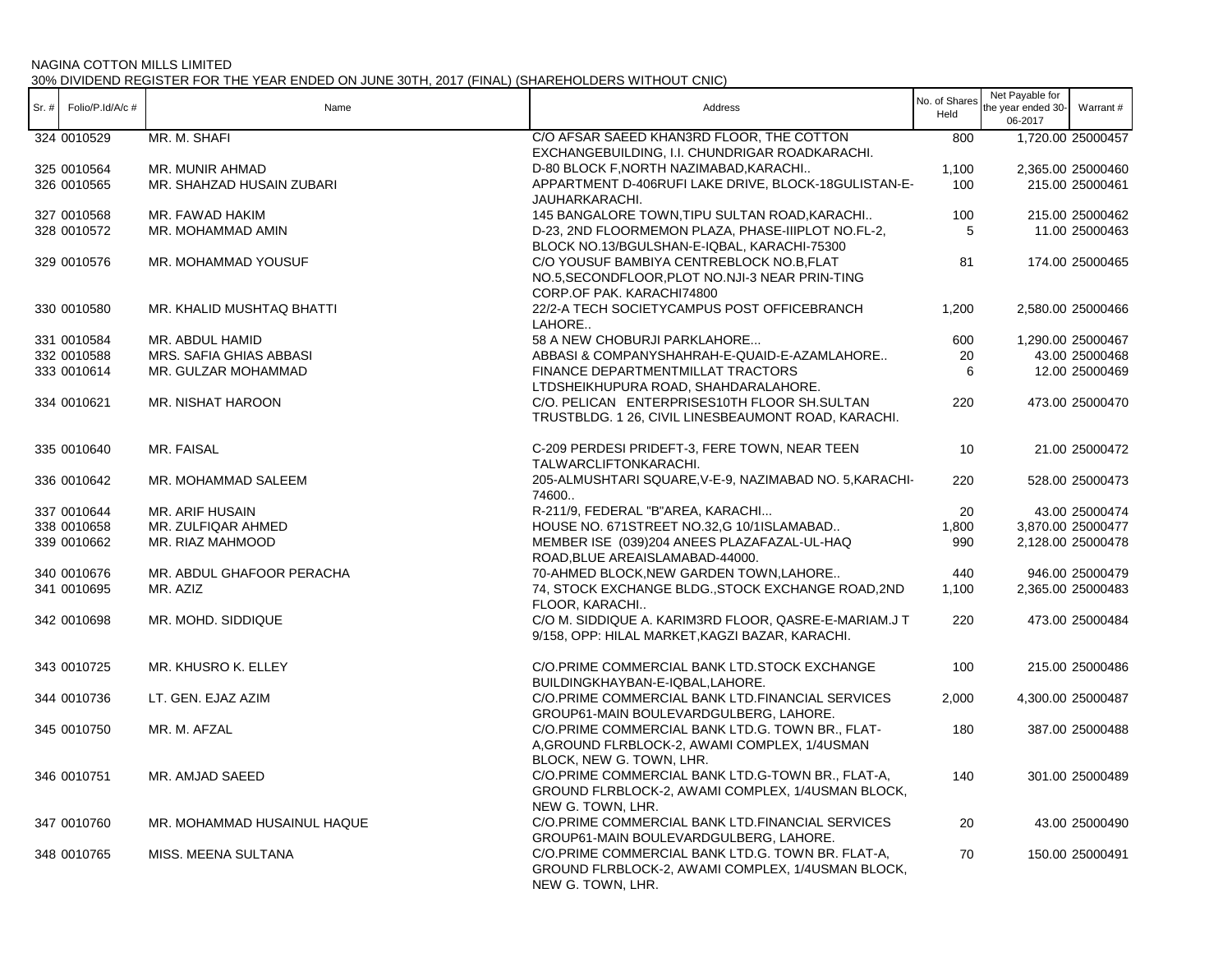| $Sr.$ # | Folio/P.Id/A/c # | Name                        | Address                                                                                                                       | No. of Shares<br>Held | Net Payable for<br>the year ended 30-<br>06-2017 | Warrant#                             |
|---------|------------------|-----------------------------|-------------------------------------------------------------------------------------------------------------------------------|-----------------------|--------------------------------------------------|--------------------------------------|
|         | 324 0010529      | MR. M. SHAFI                | C/O AFSAR SAEED KHAN3RD FLOOR, THE COTTON                                                                                     | 800                   |                                                  | 1,720.00 25000457                    |
|         | 325 0010564      | MR. MUNIR AHMAD             | EXCHANGEBUILDING, I.I. CHUNDRIGAR ROADKARACHI.<br>D-80 BLOCK F, NORTH NAZIMABAD, KARACHI                                      |                       |                                                  |                                      |
|         | 326 0010565      | MR. SHAHZAD HUSAIN ZUBARI   | APPARTMENT D-406RUFI LAKE DRIVE, BLOCK-18GULISTAN-E-                                                                          | 1,100<br>100          |                                                  | 2,365.00 25000460<br>215.00 25000461 |
|         |                  |                             | JAUHARKARACHI.                                                                                                                |                       |                                                  |                                      |
|         | 327 0010568      | MR. FAWAD HAKIM             | 145 BANGALORE TOWN, TIPU SULTAN ROAD, KARACHI                                                                                 | 100                   |                                                  | 215.00 25000462                      |
|         | 328 0010572      | MR. MOHAMMAD AMIN           | D-23, 2ND FLOORMEMON PLAZA, PHASE-IIIPLOT NO.FL-2,<br>BLOCK NO.13/BGULSHAN-E-IQBAL, KARACHI-75300                             | 5                     |                                                  | 11.00 25000463                       |
|         | 329 0010576      | MR. MOHAMMAD YOUSUF         | C/O YOUSUF BAMBIYA CENTREBLOCK NO.B, FLAT                                                                                     | 81                    |                                                  | 174.00 25000465                      |
|         |                  |                             | NO.5, SECONDFLOOR, PLOT NO.NJI-3 NEAR PRIN-TING<br>CORP.OF PAK. KARACHI74800                                                  |                       |                                                  |                                      |
|         | 330 0010580      | MR. KHALID MUSHTAQ BHATTI   | 22/2-A TECH SOCIETYCAMPUS POST OFFICEBRANCH<br>LAHORE                                                                         | 1,200                 |                                                  | 2,580.00 25000466                    |
|         | 331 0010584      | MR. ABDUL HAMID             | 58 A NEW CHOBURJI PARKLAHORE                                                                                                  | 600                   |                                                  | 1,290.00 25000467                    |
|         | 332 0010588      | MRS. SAFIA GHIAS ABBASI     | ABBASI & COMPANYSHAHRAH-E-QUAID-E-AZAMLAHORE                                                                                  | 20                    |                                                  | 43.00 25000468                       |
|         | 333 0010614      | MR. GULZAR MOHAMMAD         | FINANCE DEPARTMENTMILLAT TRACTORS<br>LTDSHEIKHUPURA ROAD, SHAHDARALAHORE.                                                     | 6                     |                                                  | 12.00 25000469                       |
|         | 334 0010621      | MR. NISHAT HAROON           | C/O. PELICAN ENTERPRISES10TH FLOOR SH.SULTAN                                                                                  | 220                   |                                                  | 473.00 25000470                      |
|         |                  |                             | TRUSTBLDG. 1 26, CIVIL LINESBEAUMONT ROAD, KARACHI.                                                                           |                       |                                                  |                                      |
|         | 335 0010640      | MR. FAISAL                  | C-209 PERDESI PRIDEFT-3, FERE TOWN, NEAR TEEN<br>TALWARCLIFTONKARACHI.                                                        | 10                    |                                                  | 21.00 25000472                       |
|         | 336 0010642      | MR. MOHAMMAD SALEEM         | 205-ALMUSHTARI SQUARE, V-E-9, NAZIMABAD NO. 5, KARACHI-<br>74600                                                              | 220                   |                                                  | 528.00 25000473                      |
|         | 337 0010644      | MR. ARIF HUSAIN             | R-211/9, FEDERAL "B"AREA, KARACHI                                                                                             | 20                    |                                                  | 43.00 25000474                       |
|         | 338 0010658      | MR. ZULFIQAR AHMED          | HOUSE NO. 671STREET NO.32,G 10/1ISLAMABAD                                                                                     | 1,800                 |                                                  | 3,870.00 25000477                    |
|         | 339 0010662      | MR. RIAZ MAHMOOD            | MEMBER ISE (039)204 ANEES PLAZAFAZAL-UL-HAQ<br>ROAD, BLUE AREAISLAMABAD-44000.                                                | 990                   |                                                  | 2,128.00 25000478                    |
|         | 340 0010676      | MR. ABDUL GHAFOOR PERACHA   | 70-AHMED BLOCK, NEW GARDEN TOWN, LAHORE                                                                                       | 440                   |                                                  | 946.00 25000479                      |
|         | 341 0010695      | MR. AZIZ                    | 74, STOCK EXCHANGE BLDG., STOCK EXCHANGE ROAD, 2ND<br>FLOOR, KARACHI                                                          | 1,100                 |                                                  | 2,365.00 25000483                    |
|         | 342 0010698      | MR. MOHD. SIDDIQUE          | C/O M. SIDDIQUE A. KARIM3RD FLOOR, QASRE-E-MARIAM.J T<br>9/158, OPP: HILAL MARKET, KAGZI BAZAR, KARACHI.                      | 220                   |                                                  | 473.00 25000484                      |
|         | 343 0010725      | MR. KHUSRO K. ELLEY         | C/O.PRIME COMMERCIAL BANK LTD.STOCK EXCHANGE<br>BUILDINGKHAYBAN-E-IQBAL,LAHORE.                                               | 100                   |                                                  | 215.00 25000486                      |
|         | 344 0010736      | LT. GEN. EJAZ AZIM          | C/O.PRIME COMMERCIAL BANK LTD.FINANCIAL SERVICES<br>GROUP61-MAIN BOULEVARDGULBERG, LAHORE.                                    | 2,000                 |                                                  | 4,300.00 25000487                    |
|         | 345 0010750      | MR. M. AFZAL                | C/O.PRIME COMMERCIAL BANK LTD.G. TOWN BR., FLAT-<br>A, GROUND FLRBLOCK-2, AWAMI COMPLEX, 1/4USMAN<br>BLOCK, NEW G. TOWN, LHR. | 180                   |                                                  | 387.00 25000488                      |
|         | 346 0010751      | MR. AMJAD SAEED             | C/O.PRIME COMMERCIAL BANK LTD.G-TOWN BR., FLAT-A,<br>GROUND FLRBLOCK-2, AWAMI COMPLEX, 1/4USMAN BLOCK,<br>NEW G. TOWN, LHR.   | 140                   |                                                  | 301.00 25000489                      |
|         | 347 0010760      | MR. MOHAMMAD HUSAINUL HAQUE | C/O.PRIME COMMERCIAL BANK LTD.FINANCIAL SERVICES<br>GROUP61-MAIN BOULEVARDGULBERG, LAHORE.                                    | 20                    |                                                  | 43.00 25000490                       |
|         | 348 0010765      | MISS. MEENA SULTANA         | C/O.PRIME COMMERCIAL BANK LTD.G. TOWN BR. FLAT-A,<br>GROUND FLRBLOCK-2, AWAMI COMPLEX, 1/4USMAN BLOCK,<br>NEW G. TOWN, LHR.   | 70                    |                                                  | 150.00 25000491                      |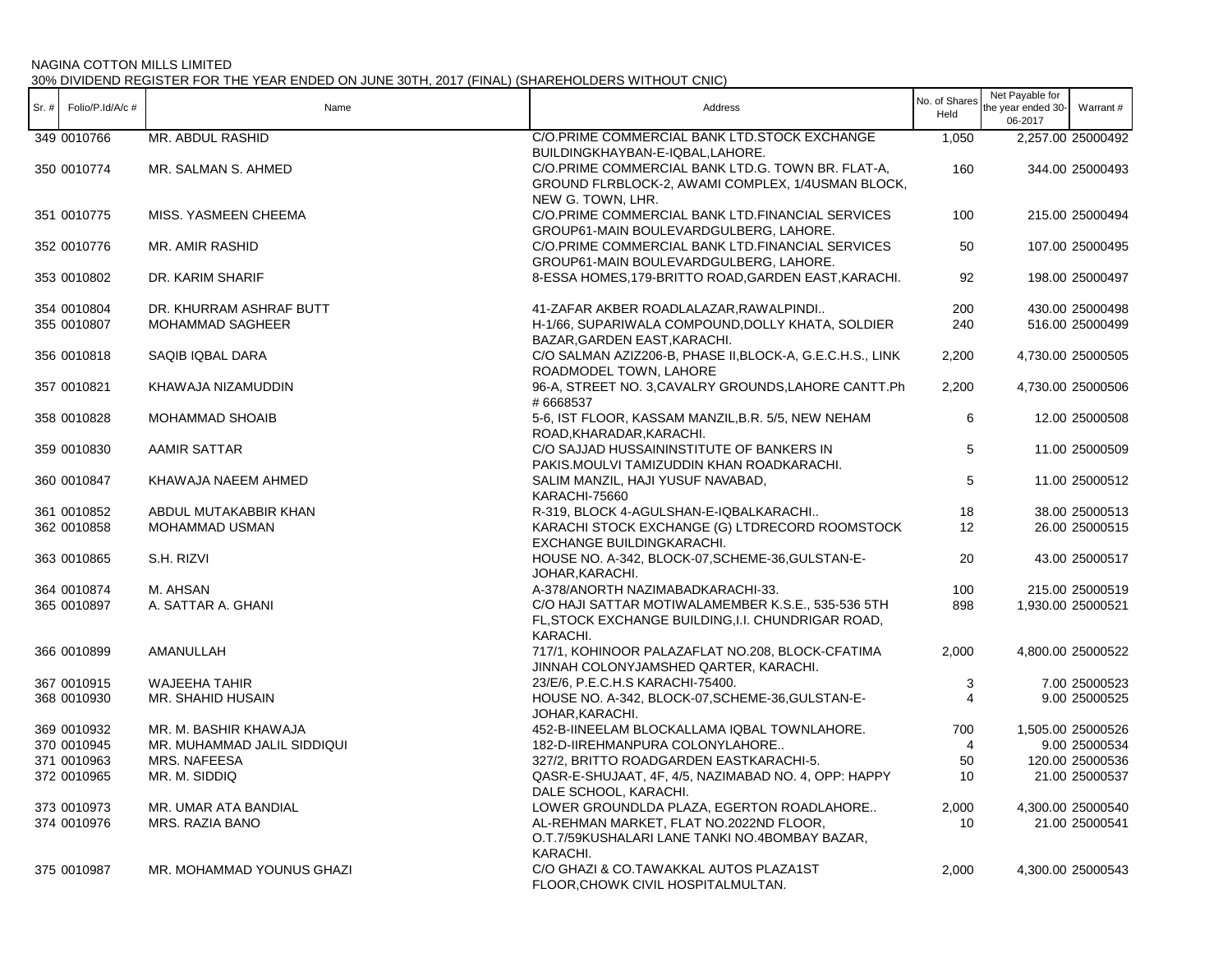| Sr.  # | Folio/P.Id/A/c # | Name                        | Address                                                                                                                     | No. of Shares<br>Held | Net Payable for<br>the year ended 30-<br>06-2017 | Warrant #         |
|--------|------------------|-----------------------------|-----------------------------------------------------------------------------------------------------------------------------|-----------------------|--------------------------------------------------|-------------------|
|        | 349 0010766      | MR. ABDUL RASHID            | C/O.PRIME COMMERCIAL BANK LTD.STOCK EXCHANGE<br>BUILDINGKHAYBAN-E-IQBAL,LAHORE.                                             | 1,050                 |                                                  | 2,257.00 25000492 |
|        | 350 0010774      | MR. SALMAN S. AHMED         | C/O.PRIME COMMERCIAL BANK LTD.G. TOWN BR. FLAT-A,<br>GROUND FLRBLOCK-2, AWAMI COMPLEX, 1/4USMAN BLOCK,<br>NEW G. TOWN, LHR. | 160                   |                                                  | 344.00 25000493   |
|        | 351 0010775      | MISS. YASMEEN CHEEMA        | C/O.PRIME COMMERCIAL BANK LTD.FINANCIAL SERVICES<br>GROUP61-MAIN BOULEVARDGULBERG, LAHORE.                                  | 100                   |                                                  | 215.00 25000494   |
|        | 352 0010776      | MR. AMIR RASHID             | C/O.PRIME COMMERCIAL BANK LTD.FINANCIAL SERVICES<br>GROUP61-MAIN BOULEVARDGULBERG, LAHORE.                                  | 50                    |                                                  | 107.00 25000495   |
|        | 353 0010802      | DR. KARIM SHARIF            | 8-ESSA HOMES, 179-BRITTO ROAD, GARDEN EAST, KARACHI.                                                                        | 92                    |                                                  | 198.00 25000497   |
|        | 354 0010804      | DR. KHURRAM ASHRAF BUTT     | 41-ZAFAR AKBER ROADLALAZAR, RAWALPINDI                                                                                      | 200                   |                                                  | 430.00 25000498   |
|        | 355 0010807      | <b>MOHAMMAD SAGHEER</b>     | H-1/66, SUPARIWALA COMPOUND, DOLLY KHATA, SOLDIER<br>BAZAR, GARDEN EAST, KARACHI.                                           | 240                   |                                                  | 516.00 25000499   |
|        | 356 0010818      | SAQIB IQBAL DARA            | C/O SALMAN AZIZ206-B, PHASE II, BLOCK-A, G.E.C.H.S., LINK<br>ROADMODEL TOWN, LAHORE                                         | 2,200                 |                                                  | 4,730.00 25000505 |
|        | 357 0010821      | KHAWAJA NIZAMUDDIN          | 96-A, STREET NO. 3, CAVALRY GROUNDS, LAHORE CANTT. Ph<br>#6668537                                                           | 2,200                 |                                                  | 4,730.00 25000506 |
|        | 358 0010828      | MOHAMMAD SHOAIB             | 5-6, IST FLOOR, KASSAM MANZIL, B.R. 5/5, NEW NEHAM<br>ROAD, KHARADAR, KARACHI.                                              | 6                     |                                                  | 12.00 25000508    |
|        | 359 0010830      | <b>AAMIR SATTAR</b>         | C/O SAJJAD HUSSAININSTITUTE OF BANKERS IN<br>PAKIS.MOULVI TAMIZUDDIN KHAN ROADKARACHI.                                      | 5                     |                                                  | 11.00 25000509    |
|        | 360 0010847      | KHAWAJA NAEEM AHMED         | SALIM MANZIL, HAJI YUSUF NAVABAD,<br>KARACHI-75660                                                                          | 5                     |                                                  | 11.00 25000512    |
|        | 361 0010852      | ABDUL MUTAKABBIR KHAN       | R-319, BLOCK 4-AGULSHAN-E-IQBALKARACHI                                                                                      | 18                    |                                                  | 38.00 25000513    |
|        | 362 0010858      | MOHAMMAD USMAN              | KARACHI STOCK EXCHANGE (G) LTDRECORD ROOMSTOCK<br>EXCHANGE BUILDINGKARACHI.                                                 | 12                    |                                                  | 26.00 25000515    |
|        | 363 0010865      | S.H. RIZVI                  | HOUSE NO. A-342, BLOCK-07, SCHEME-36, GULSTAN-E-<br>JOHAR, KARACHI.                                                         | 20                    |                                                  | 43.00 25000517    |
|        | 364 0010874      | M. AHSAN                    | A-378/ANORTH NAZIMABADKARACHI-33.                                                                                           | 100                   |                                                  | 215.00 25000519   |
|        | 365 0010897      | A. SATTAR A. GHANI          | C/O HAJI SATTAR MOTIWALAMEMBER K.S.E., 535-536 5TH<br>FL, STOCK EXCHANGE BUILDING, I.I. CHUNDRIGAR ROAD,<br>KARACHI.        | 898                   |                                                  | 1,930.00 25000521 |
|        | 366 0010899      | AMANULLAH                   | 717/1, KOHINOOR PALAZAFLAT NO.208, BLOCK-CFATIMA<br>JINNAH COLONYJAMSHED QARTER, KARACHI.                                   | 2,000                 |                                                  | 4,800.00 25000522 |
|        | 367 0010915      | <b>WAJEEHA TAHIR</b>        | 23/E/6, P.E.C.H.S KARACHI-75400.                                                                                            | 3                     |                                                  | 7.00 25000523     |
|        | 368 0010930      | MR. SHAHID HUSAIN           | HOUSE NO. A-342, BLOCK-07, SCHEME-36, GULSTAN-E-<br>JOHAR, KARACHI.                                                         | $\overline{4}$        |                                                  | 9.00 25000525     |
|        | 369 0010932      | MR. M. BASHIR KHAWAJA       | 452-B-IINEELAM BLOCKALLAMA IQBAL TOWNLAHORE.                                                                                | 700                   |                                                  | 1,505.00 25000526 |
|        | 370 0010945      | MR. MUHAMMAD JALIL SIDDIQUI | 182-D-IIREHMANPURA COLONYLAHORE                                                                                             | 4                     |                                                  | 9.00 25000534     |
|        | 371 0010963      | <b>MRS. NAFEESA</b>         | 327/2, BRITTO ROADGARDEN EASTKARACHI-5.                                                                                     | 50                    |                                                  | 120.00 25000536   |
|        | 372 0010965      | MR. M. SIDDIQ               | QASR-E-SHUJAAT, 4F, 4/5, NAZIMABAD NO. 4, OPP: HAPPY<br>DALE SCHOOL, KARACHI.                                               | 10                    |                                                  | 21.00 25000537    |
|        | 373 0010973      | MR. UMAR ATA BANDIAL        | LOWER GROUNDLDA PLAZA, EGERTON ROADLAHORE                                                                                   | 2,000                 |                                                  | 4,300.00 25000540 |
|        | 374 0010976      | MRS. RAZIA BANO             | AL-REHMAN MARKET, FLAT NO.2022ND FLOOR,<br>O.T.7/59KUSHALARI LANE TANKI NO.4BOMBAY BAZAR,<br>KARACHI.                       | 10                    |                                                  | 21.00 25000541    |
|        | 375 0010987      | MR. MOHAMMAD YOUNUS GHAZI   | C/O GHAZI & CO.TAWAKKAL AUTOS PLAZA1ST<br>FLOOR, CHOWK CIVIL HOSPITAL MULTAN.                                               | 2,000                 |                                                  | 4,300.00 25000543 |